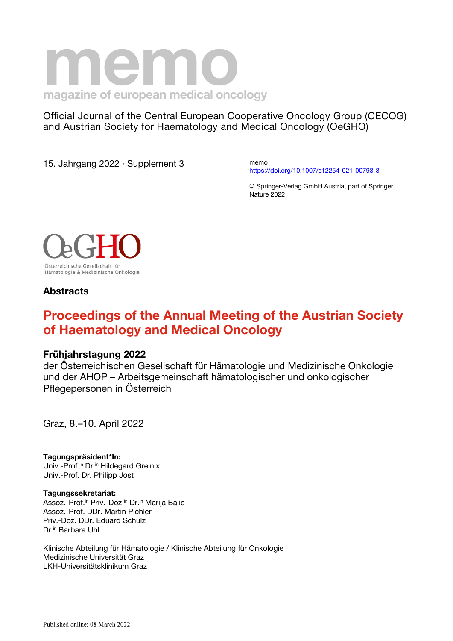# **nagazine of european medical oncology**

Official Journal of the Central European Cooperative Oncology Group (CECOG) and Austrian Society for Haematology and Medical Oncology (OeGHO)

15. Jahrgang 2022 · Supplement 3

memo <https://doi.org/10.1007/s12254-021-00793-3>

© Springer-Verlag GmbH Austria, part of Springer Nature 2022



## **Abstracts**

# **Proceedings of the Annual Meeting of the Austrian Society of Haematology and Medical Oncology**

## **Frühjahrstagung 2022**

der Österreichischen Gesellschaft für Hämatologie und Medizinische Onkologie und der AHOP – Arbeitsgemeinschaft hämatologischer und onkologischer Pflegepersonen in Österreich

Graz, 8.–10. April 2022

**Tagungspräsident\*In:** Univ.-Prof.<sup>in</sup> Dr.<sup>in</sup> Hildegard Greinix Univ.-Prof. Dr. Philipp Jost

**Tagungssekretariat:** Assoz.-Prof.<sup>in</sup> Priv.-Doz.<sup>in</sup> Dr.<sup>in</sup> Marija Balic Assoz.-Prof. DDr. Martin Pichler Priv.-Doz. DDr. Eduard Schulz Dr.<sup>in</sup> Barbara Uhl

Klinische Abteilung für Hämatologie / Klinische Abteilung für Onkologie Medizinische Universität Graz LKH-Universitätsklinikum Graz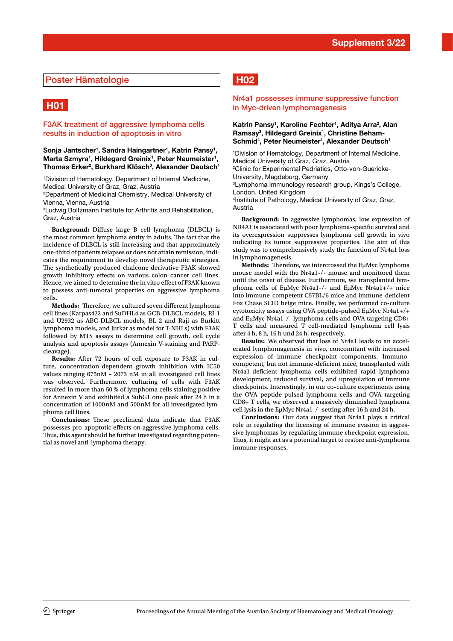#### Poster Hämatologie

# **H01**

#### F3AK treatment of aggressive lymphoma cells results in induction of apoptosis in vitro

#### Sonja Jantscher<sup>1</sup>, Sandra Haingartner<sup>1</sup>, Katrin Pansy<sup>1</sup>, Marta Szmyra<sup>1</sup>, Hildegard Greinix<sup>1</sup>, Peter Neumeister<sup>1</sup>, **Thomas Erker2 , Burkhard Klösch3 , Alexander Deutsch1**

1 Division of Hematology, Department of Internal Medicine, Medical University of Graz, Graz, Austria

2 Department of Medicinal Chemistry, Medical University of Vienna, Vienna, Austria

3 Ludwig Boltzmann Institute for Arthritis and Rehabilitation, Graz, Austria

**Background:** Difuse large B cell lymphoma (DLBCL) is the most common lymphoma entity in adults. The fact that the incidence of DLBCL is still increasing and that approximately one-third of patients relapses or does not attain remission, indicates the requirement to develop novel therapeutic strategies. The synthetically produced chalcone derivative F3AK showed growth inhibitory efects on various colon cancer cell lines. Hence, we aimed to determine the in vitro efect of F3AK known to possess anti-tumoral properties on aggressive lymphoma cells.

**Methods:** Therefore, we cultured seven different lymphoma cell lines (Karpas422 and SuDHL4 as GCB-DLBCL models, RI-1 and U2932 as ABC-DLBCL models, BL-2 and Raji as Burkitt lymphoma models, and Jurkat as model for T-NHLs) with F3AK followed by MTS assays to determine cell growth, cell cycle analysis and apoptosis assays (Annexin V-staining and PARPcleavage).

**Results:** After 72 hours of cell exposure to F3AK in culture, concentration-dependent growth inhibition with IC50 values ranging 675nM – 2073 nM in all investigated cell lines was observed. Furthermore, culturing of cells with F3AK resulted in more than 50 % of lymphoma cells staining positive for Annexin V and exhibited a SubG1 one peak after 24 h in a concentration of 1000nM and 500nM for all investigated lymphoma cell lines.

**Conclusions:** These preclinical data indicate that F3AK possesses pro-apoptotic efects on aggressive lymphoma cells. Thus, this agent should be further investigated regarding potential as novel anti-lymphoma therapy.

## **H02**

#### Nr4a1 possesses immune suppressive function in Myc-driven lymphomagenesis

#### Katrin Pansy<sup>1</sup>, Karoline Fechter<sup>1</sup>, Aditya Arra<sup>2</sup>, Alan Ramsay<sup>3</sup>, Hildegard Greinix<sup>1</sup>, Christine Beham-Schmid<sup>4</sup>, Peter Neumeister<sup>1</sup>, Alexander Deutsch<sup>1</sup>

1 Division of Hematology, Department of Internal Medicine, Medical University of Graz, Graz, Austria 2 Clinic for Experimental Pedriatics, Otto-von-Guericke-University, Magdeburg, Germany 3 Lymphoma Immunology research group, Kings's College, London, United Kingdom

4 Institute of Pathology, Medical University of Graz, Graz, Austria

**Background:** In aggressive lymphomas, low expression of NR4A1 is associated with poor lymphoma-specifc survival and its overexpression suppresses lymphoma cell growth in vivo indicating its tumor suppressive properties. The aim of this study was to comprehensively study the function of Nr4a1 loss in lymphomagenesis.

**Methods:** Therefore, we intercrossed the EuMyc lymphoma mouse model with the Nr4a1-/- mouse and monitored them until the onset of disease. Furthermore, we transplanted lymphoma cells of EµMyc Nr4a1-/- and EµMyc Nr4a1+/+ mice into immune-competent C57BL/6 mice and immune-deficient Fox Chase SCID beige mice. Finally, we performed co-culture cytotoxicity assays using OVA peptide-pulsed EµMyc Nr4a1+/+ and EµMyc Nr4a1-/- lymphoma cells and OVA targeting CD8+ T cells and measured T cell-mediated lymphoma cell lysis after 4 h, 8 h, 16 h und 24 h, respectively.

**Results:** We observed that loss of Nr4a1 leads to an accelerated lymphomagenesis in vivo, concomitant with increased expression of immune checkpoint components. Immunocompetent, but not immune-deficient mice, transplanted with Nr4a1-deficient lymphoma cells exhibited rapid lymphoma development, reduced survival, and upregulation of immune checkpoints. Interestingly, in our co-culture experiments using the OVA peptide-pulsed lymphoma cells and OVA targeting CD8+ T cells, we observed a massively diminished lymphoma cell lysis in the EµMyc Nr4a1-/- setting after 16 h and 24 h.

**Conclusions:** Our data suggest that Nr4a1 plays a critical role in regulating the licensing of immune evasion in aggressive lymphomas by regulating immune checkpoint expression. Thus, it might act as a potential target to restore anti-lymphoma immune responses.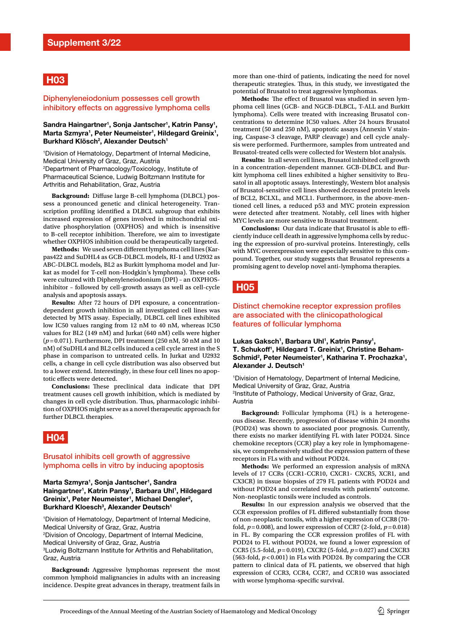## **H03**

#### Diphenyleneiodonium possesses cell growth inhibitory effects on aggressive lymphoma cells

#### Sandra Haingartner<sup>1</sup>, Sonja Jantscher<sup>1</sup>, Katrin Pansy<sup>1</sup>, Marta Szmyra<sup>1</sup>, Peter Neumeister<sup>1</sup>, Hildegard Greinix<sup>1</sup>, **Burkhard Klösch2 , Alexander Deutsch1**

1 Division of Hematology, Department of Internal Medicine, Medical University of Graz, Graz, Austria 2 Department of Pharmacology/Toxicology, Institute of Pharmaceutical Science, Ludwig Boltzmann Institute for Arthritis and Rehabilitation, Graz, Austria

**Background:** Difuse large B-cell lymphoma (DLBCL) possess a pronounced genetic and clinical heterogeneity. Transcription profling identifed a DLBCL subgroup that exhibits increased expression of genes involved in mitochondrial oxidative phosphorylation (OXPHOS) and which is insensitive to B-cell receptor inhibition. Therefore, we aim to investigate whether OXPHOS inhibition could be therapeutically targeted.

**Methods:** We used seven diferent lymphoma cell lines (Karpas422 and SuDHL4 as GCB-DLBCL models, RI-1 and U2932 as ABC-DLBCL models, BL2 as Burkitt lymphoma model and Jurkat as model for T-cell non-Hodgkin's lymphoma). These cells were cultured with Diphenyleneiodonium (DPI) – an OXPHOSinhibitor – followed by cell-growth assays as well as cell-cycle analysis and apoptosis assays.

**Results:** After 72 hours of DPI exposure, a concentrationdependent growth inhibition in all investigated cell lines was detected by MTS assay. Especially, DLBCL cell lines exhibited low IC50 values ranging from 12 nM to 40 nM, whereas IC50 values for BL2 (149 nM) and Jurkat (640 nM) cells were higher (*p*=0.071). Furthermore, DPI treatment (250 nM, 50 nM and 10 nM) of SuDHL4 and BL2 cells induced a cell cycle arrest in the S phase in comparison to untreated cells. In Jurkat and U2932 cells, a change in cell cycle distribution was also observed but to a lower extend. Interestingly, in these four cell lines no apoptotic efects were detected.

**Conclusions:** These preclinical data indicate that DPI treatment causes cell growth inhibition, which is mediated by changes in cell cycle distribution. Thus, pharmacologic inhibition of OXPHOS might serve as a novel therapeutic approach for further DLBCL therapies.

## **H04**

#### Brusatol inhibits cell growth of aggressive lymphoma cells in vitro by inducing apoptosis

#### **Marta Szmyra1 , Sonja Jantscher1 , Sandra**  Haingartner<sup>1</sup>, Katrin Pansy<sup>1</sup>, Barbara Uhl<sup>1</sup>, Hildegard Greinix<sup>1</sup>, Peter Neumeister<sup>1</sup>, Michael Dengler<sup>2</sup>, **Burkhard Kloesch<sup>3</sup>, Alexander Deutsch<sup>1</sup>**

1 Division of Hematology, Department of Internal Medicine, Medical University of Graz, Graz, Austria 2 Division of Oncology, Department of Internal Medicine, Medical University of Graz, Graz, Austria 3 Ludwig Boltzmann Institute for Arthritis and Rehabilitation, Graz, Austria

**Background:** Aggressive lymphomas represent the most common lymphoid malignancies in adults with an increasing incidence. Despite great advances in therapy, treatment fails in

more than one-third of patients, indicating the need for novel therapeutic strategies. Thus, in this study, we investigated the potential of Brusatol to treat aggressive lymphomas.

Methods: The effect of Brusatol was studied in seven lymphoma cell lines (GCB- and NGCB-DLBCL, T-ALL and Burkitt lymphoma). Cells were treated with increasing Brusatol concentrations to determine IC50 values. After 24 hours Brusatol treatment (50 and 250 nM), apoptotic assays (Annexin V staining, Caspase-3 cleavage, PARP cleavage) and cell cycle analysis were performed. Furthermore, samples from untreated and Brusatol-treated cells were collected for Western blot analysis.

**Results:** In all seven cell lines, Brusatol inhibited cell growth in a concentration-dependent manner. GCB-DLBCL and Burkitt lymphoma cell lines exhibited a higher sensitivity to Brusatol in all apoptotic assays. Interestingly, Western blot analysis of Brusatol-sensitive cell lines showed decreased protein levels of BCL2, BCLXL, and MCL1. Furthermore, in the above-mentioned cell lines, a reduced p53 and MYC protein expression were detected after treatment. Notably, cell lines with higher MYC levels are more sensitive to Brusatol treatment.

**Conclusions:** Our data indicate that Brusatol is able to efficiently induce cell death in aggressive lymphoma cells by reducing the expression of pro-survival proteins. Interestingly, cells with MYC overexpression were especially sensitive to this compound. Together, our study suggests that Brusatol represents a promising agent to develop novel anti-lymphoma therapies.

## **H05**

#### Distinct chemokine receptor expression profles are associated with the clinicopathological features of follicular lymphoma

#### Lukas Gaksch<sup>1</sup>, Barbara Uhl<sup>1</sup>, Katrin Pansy<sup>1</sup>, **T. Schukoff1 , Hildegard T. Greinix1 , Christine Beham-**Schmid<sup>2</sup>, Peter Neumeister<sup>1</sup>, Katharina T. Prochazka<sup>1</sup>, **Alexander J. Deutsch1**

1 Division of Hematology, Department of Internal Medicine, Medical University of Graz, Graz, Austria 2 Institute of Pathology, Medical University of Graz, Graz, Austria

**Background:** Follicular lymphoma (FL) is a heterogeneous disease. Recently, progression of disease within 24 months (POD24) was shown to associated poor prognosis. Currently, there exists no marker identifying FL with later POD24. Since chemokine receptors (CCR) play a key role in lymphomagenesis, we comprehensively studied the expression pattern of these receptors in FLs with and without POD24.

**Methods:** We performed an expression analysis of mRNA levels of 17 CCRs (CCR1-CCR10, CXCR1- CXCR5, XCR1, and CX3CR) in tissue biopsies of 279 FL patients with POD24 and without POD24 and correlated results with patients' outcome. Non-neoplastic tonsils were included as controls.

**Results:** In our expression analysis we observed that the CCR expression profles of FL difered substantially from those of non-neoplastic tonsils, with a higher expression of CCR8 (70 fold,  $p = 0.008$ ), and lower expression of CCR7 (2-fold,  $p = 0.018$ ) in FL. By comparing the CCR expression profles of FL with POD24 to FL without POD24, we found a lower expression of CCR5 (5.5-fold, *p*=0.019), CXCR2 (5-fold, *p*=0.027) and CXCR3 (563-fold, *p*<0.001) in FLs with POD24. By comparing the CCR pattern to clinical data of FL patients, we observed that high expression of CCR3, CCR4, CCR7, and CCR10 was associated with worse lymphoma-specifc survival.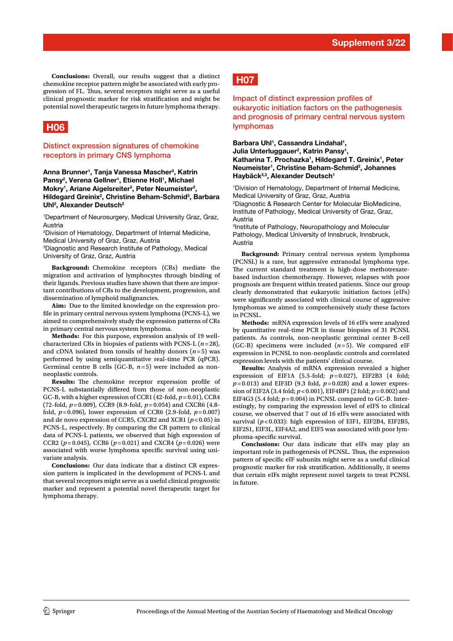**Conclusions:** Overall, our results suggest that a distinct chemokine receptor pattern might be associated with early progression of FL. Thus, several receptors might serve as a useful clinical prognostic marker for risk stratifcation and might be potential novel therapeutic targets in future lymphoma therapy.

## **H06**

#### Distinct expression signatures of chemokine receptors in primary CNS lymphoma

#### **Anna Brunner1 , Tanja Vanessa Mascher3 , Katrin**  Pansy<sup>2</sup>, Verena Gellner<sup>1</sup>, Etienne Holl<sup>1</sup>, Michael Mokry<sup>1</sup>, Ariane Aigelsreiter<sup>3</sup>, Peter Neumeister<sup>2</sup>, Hildegard Greinix<sup>2</sup>, Christine Beham-Schmid<sup>3</sup>, Barbara **Uhl2 , Alexander Deutsch2**

1 Department of Neurosurgery, Medical University Graz, Graz, Austria

2 Division of Hematology, Department of Internal Medicine, Medical University of Graz, Graz, Austria

3 Diagnostic and Research Institute of Pathology, Medical University of Graz, Graz, Austria

**Background:** Chemokine receptors (CRs) mediate the migration and activation of lymphocytes through binding of their ligands. Previous studies have shown that there are important contributions of CRs to the development, progression, and dissemination of lymphoid malignancies.

**Aim:** Due to the limited knowledge on the expression profle in primary central nervous system lymphoma (PCNS-L), we aimed to comprehensively study the expression patterns of CRs in primary central nervous system lymphoma.

**Methods:** For this purpose, expression analysis of 19 wellcharacterized CRs in biopsies of patients with PCNS-L (*n*=28), and cDNA isolated from tonsils of healthy donors (*n*=5) was performed by using semiquantitative real-time PCR (qPCR). Germinal centre B cells (GC-B,  $n=5$ ) were included as nonneoplastic controls.

**Results:** The chemokine receptor expression profile of PCNS-L substantially difered from those of non-neoplastic GC-B, with a higher expression of CCR1 (42-fold, *p*=0.01), CCR4 (72-fold, *p*=0.009), CCR9 (8.9-fold, *p*=0.054) and CXCR6 (4.8 fold,  $p=0.096$ ), lower expression of CCR6 (2.9-fold,  $p=0.007$ ) and de novo expression of CCR5, CXCR2 and XCR1 (*p*<0.05) in PCNS-L, respectively. By comparing the CR pattern to clinical data of PCNS-L patients, we observed that high expression of CCR2 ( $p = 0.045$ ), CCR6 ( $p = 0.021$ ) and CXCR4 ( $p = 0.026$ ) were associated with worse lymphoma specific survival using univariate analysis.

**Conclusions:** Our data indicate that a distinct CR expression pattern is implicated in the development of PCNS-L and that several receptors might serve as a useful clinical prognostic marker and represent a potential novel therapeutic target for lymphoma therapy.

# **H07**

Impact of distinct expression profles of eukaryotic initiation factors on the pathogenesis and prognosis of primary central nervous system lymphomas

#### Barbara Uhl<sup>1</sup>, Cassandra Lindahal<sup>1</sup>, Julia Unterluggauer<sup>2</sup>, Katrin Pansy<sup>1</sup>, **Katharina T. Prochazka1 , Hildegard T. Greinix1 , Peter**  Neumeister<sup>1</sup>, Christine Beham-Schmid<sup>2</sup>, Johannes **Haybäck2,3, Alexander Deutsch1**

1 Division of Hematology, Department of Internal Medicine, Medical University of Graz, Graz, Austria

2 Diagnostic & Research Center for Molecular BioMedicine, Institute of Pathology, Medical University of Graz, Graz, Austria

3 Institute of Pathology, Neuropathology and Molecular Pathology, Medical University of Innsbruck, Innsbruck, Austria

**Background:** Primary central nervous system lymphoma (PCNSL) is a rare, but aggressive extranodal lymphoma type. The current standard treatment is high-dose methotrexatebased induction chemotherapy. However, relapses with poor prognosis are frequent within treated patients. Since our group clearly demonstrated that eukaryotic initiation factors (eIFs) were signifcantly associated with clinical course of aggressive lymphomas we aimed to comprehensively study these factors in PCNSL.

**Methods:** mRNA expression levels of 16 eIFs were analyzed by quantitative real-time PCR in tissue biopsies of 31 PCNSL patients. As controls, non-neoplastic germinal center B-cell (GC-B) specimens were included (*n*=5). We compared eIF expression in PCNSL to non-neoplastic controls and correlated expression levels with the patients' clinical course.

**Results:** Analysis of mRNA expression revealed a higher expression of EIF1A (5.5-fold; *p*=0.027), EIF2B3 (4 fold; *p*=0.013) and EIF3D (9.3 fold, *p*=0.028) and a lower expression of EIF2A (3.4 fold; *p*<0.001), EIF4BP1 (2 fold; *p*=0.002) and EIF4G3 (5.4 fold;  $p=0.004$ ) in PCNSL compared to GC-B. Interestingly, by comparing the expression level of eIFS to clinical course, we observed that 7 out of 16 eIFs were associated with survival (*p*<0.033): high expression of EIF1, EIF2B4, EIF2B5, EIF2S1, EIF3L, EIF4A2, and EIF5 was associated with poor lymphoma-specifc survival.

**Conclusions:** Our data indicate that eIFs may play an important role in pathogenesis of PCNSL. Thus, the expression pattern of specifc eIF subunits might serve as a useful clinical prognostic marker for risk stratifcation. Additionally, it seems that certain eIFs might represent novel targets to treat PCNSL in future.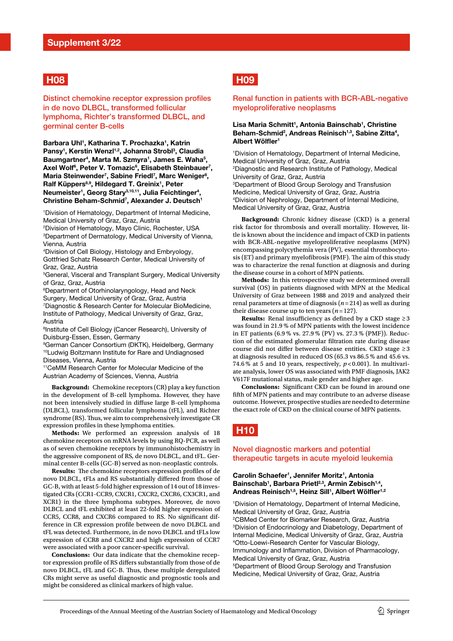## **H08**

Distinct chemokine receptor expression profles in de novo DLBCL, transformed follicular lymphoma, Richter's transformed DLBCL, and germinal center B-cells

**Barbara Uhl1 , Katharina T. Prochazka1 , Katrin**  Pansy<sup>1</sup>, Kerstin Wenzl<sup>1,2</sup>, Johanna Strobl<sup>3</sup>, Claudia Baumgartner<sup>4</sup>, Marta M. Szmyra<sup>1</sup>, James E. Waha<sup>5</sup>, Axel Wolf<sup>6</sup>, Peter V. Tomazic<sup>6</sup>, Elisabeth Steinbauer<sup>7</sup>, Maria Steinwender<sup>7</sup>, Sabine Friedl<sup>7</sup>, Marc Weniger<sup>8</sup>, **Ralf Küppers8,9, Hildegard T. Greinix1 , Peter**  Neumeister<sup>1</sup>, Georg Stary<sup>3,10,11</sup>, Julia Feichtinger<sup>4</sup>, **Christine Beham-Schmid7 , Alexander J. Deutsch1**

1 Division of Hematology, Department of Internal Medicine, Medical University of Graz, Graz, Austria

2 Division of Hematology, Mayo Clinic, Rochester, USA 3 Department of Dermatology, Medical University of Vienna, Vienna, Austria

4 Division of Cell Biology, Histology and Embryology, Gottfried Schatz Research Center, Medical University of Graz, Graz, Austria

5 General, Visceral and Transplant Surgery, Medical University of Graz, Graz, Austria

6 Department of Otorhinolaryngology, Head and Neck Surgery, Medical University of Graz, Graz, Austria 7 Diagnostic & Research Center for Molecular BioMedicine, Institute of Pathology, Medical University of Graz, Graz, Austria

<sup>8</sup>Institute of Cell Biology (Cancer Research), University of Duisburg-Essen, Essen, Germany

9 German Cancer Consortium (DKTK), Heidelberg, Germany 10Ludwig Boltzmann Institute for Rare and Undiagnosed Diseases, Vienna, Austria

11CeMM Research Center for Molecular Medicine of the Austrian Academy of Sciences, Vienna, Austria

**Background:** Chemokine receptors (CR) play a key function in the development of B-cell lymphoma. However, they have not been intensively studied in difuse large B-cell lymphoma (DLBCL), transformed follicular lymphoma (tFL), and Richter syndrome (RS). Thus, we aim to comprehensively investigate CR expression profles in these lymphoma entities.

**Methods:** We performed an expression analysis of 18 chemokine receptors on mRNA levels by using RQ-PCR, as well as of seven chemokine receptors by immunohistochemistry in the aggressive component of RS, de novo DLBCL, and tFL. Germinal center B-cells (GC-B) served as non-neoplastic controls.

**Results:** The chemokine receptors expression profiles of de novo DLBCL, tFLs and RS substantially difered from those of GC-B, with at least 5-fold higher expression of 14 out of 18 investigated CRs (CCR1-CCR9, CXCR1, CXCR2, CXCR6, CX3CR1, and XCR1) in the three lymphoma subtypes. Moreover, de novo DLBCL and tFL exhibited at least 22-fold higher expression of CCR5, CCR8, and CXCR6 compared to RS. No signifcant difference in CR expression profle between de novo DLBCL and tFL was detected. Furthermore, in de novo DLBCL and tFLs low expression of CCR8 and CXCR2 and high expression of CCR7 were associated with a poor cancer-specifc survival.

**Conclusions:** Our data indicate that the chemokine receptor expression profle of RS difers substantially from those of de novo DLBCL, tFL and GC-B. Thus, these multiple deregulated CRs might serve as useful diagnostic and prognostic tools and might be considered as clinical markers of high value.

# **H09**

#### Renal function in patients with BCR-ABL-negative myeloproliferative neoplasms

#### Lisa Maria Schmitt<sup>1</sup>, Antonia Bainschab<sup>1</sup>, Christine Beham-Schmid<sup>2</sup>, Andreas Reinisch<sup>1,3</sup>, Sabine Zitta<sup>4</sup>, **Albert Wölfer1**

1 Division of Hematology, Department of Internal Medicine, Medical University of Graz, Graz, Austria 2 Diagnostic and Research Institute of Pathology, Medical University of Graz, Graz, Austria 3 Department of Blood Group Serology and Transfusion Medicine, Medical University of Graz, Graz, Austria 4 Division of Nephrology, Department of Internal Medicine, Medical University of Graz, Graz, Austria

**Background:** Chronic kidney disease (CKD) is a general risk factor for thrombosis and overall mortality. However, little is known about the incidence and impact of CKD in patients with BCR-ABL-negative myeloproliferative neoplasms (MPN) encompassing polycythemia vera (PV), essential thrombocytosis (ET) and primary myelofibrosis (PMF). The aim of this study was to characterize the renal function at diagnosis and during the disease course in a cohort of MPN patients.

**Methods:** In this retrospective study we determined overall survival (OS) in patients diagnosed with MPN at the Medical University of Graz between 1988 and 2019 and analyzed their renal parameters at time of diagnosis (*n*=214) as well as during their disease course up to ten years  $(n=127)$ .

**Results:** Renal insufficiency as defined by a CKD stage  $\geq 3$ was found in 21.9 % of MPN patients with the lowest incidence in ET patients (6.9 % vs. 27.9 % (PV) vs. 27.3 % (PMF)). Reduction of the estimated glomerular fltration rate during disease course did not difer between disease entities. CKD stage ≥3 at diagnosis resulted in reduced OS (65.3 vs 86.5 % and 45.6 vs. 74.6 % at 5 and 10 years, respectively,  $p < 0.001$ ). In multivariate analysis, lower OS was associated with PMF diagnosis, JAK2 V617F mutational status, male gender and higher age.

**Conclusions:** Significant CKD can be found in around one ffth of MPN patients and may contribute to an adverse disease outcome. However, prospective studies are needed to determine the exact role of CKD on the clinical course of MPN patients.

# **H10**

#### Novel diagnostic markers and potential therapeutic targets in acute myeloid leukemia

#### Carolin Schaefer<sup>1</sup>, Jennifer Moritz<sup>1</sup>, Antonia Bainschab<sup>1</sup>, Barbara Prietl<sup>2,3</sup>, Armin Zebisch<sup>1,4</sup>, **Andreas Reinisch1,5, Heinz Sill1 , Albert Wölfer1,2**

1 Division of Hematology, Department of Internal Medicine, Medical University of Graz, Graz, Austria 2 CBMed Center for Biomarker Research, Graz, Austria 3 Division of Endocrinology and Diabetology, Department of Internal Medicine, Medical University of Graz, Graz, Austria 4 Otto-Loewi-Research Center for Vascular Biology, Immunology and Infammation, Division of Pharmacology, Medical University of Graz, Graz, Austria 5 Department of Blood Group Serology and Transfusion Medicine, Medical University of Graz, Graz, Austria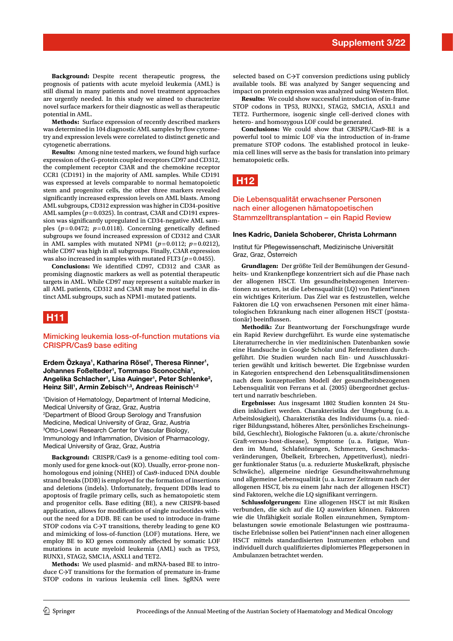**Background:** Despite recent therapeutic progress, the prognosis of patients with acute myeloid leukemia (AML) is still dismal in many patients and novel treatment approaches are urgently needed. In this study we aimed to characterize novel surface markers for their diagnostic as well as therapeutic potential in AML.

**Methods:** Surface expression of recently described markers was determined in 104 diagnostic AML samples by flow cytometry and expression levels were correlated to distinct genetic and cytogenetic aberrations.

**Results:** Among nine tested markers, we found high surface expression of the G-protein coupled receptors CD97 and CD312, the complement receptor C3AR and the chemokine receptor CCR1 (CD191) in the majority of AML samples. While CD191 was expressed at levels comparable to normal hematopoietic stem and progenitor cells, the other three markers revealed signifcantly increased expression levels on AML blasts. Among AML subgroups, CD312 expression was higher in CD34-positive AML samples ( $p = 0.0325$ ). In contrast, C3AR and CD191 expression was signifcantly upregulated in CD34-negative AML samples  $(p=0.0472; p=0.0118)$ . Concerning genetically defined subgroups we found increased expression of CD312 and C3AR in AML samples with mutated NPM1 ( $p=0.0112$ ;  $p=0.0212$ ), while CD97 was high in all subgroups. Finally, C3AR expression was also increased in samples with mutated FLT3 ( $p=0.0455$ ).

**Conclusions:** We identifed CD97, CD312 and C3AR as promising diagnostic markers as well as potential therapeutic targets in AML. While CD97 may represent a suitable marker in all AML patients, CD312 and C3AR may be most useful in distinct AML subgroups, such as NPM1-mutated patients.

## **H11**

#### Mimicking leukemia loss-of-function mutations via CRISPR/Cas9 base editing

Erdem Özkaya<sup>1</sup>, Katharina Rösel<sup>1</sup>, Theresa Rinner<sup>1</sup>, Johannes Foßelteder<sup>1</sup>, Tommaso Sconocchia<sup>1</sup>, **Angelika Schlacher1 , Lisa Auinger1 , Peter Schlenke2 , Heinz Sill1 , Armin Zebisch1,3, Andreas Reinisch1,2**

1 Division of Hematology, Department of Internal Medicine, Medical University of Graz, Graz, Austria 2 Department of Blood Group Serology and Transfusion Medicine, Medical University of Graz, Graz, Austria 3 Otto-Loewi Research Center for Vascular Biology, Immunology and Infammation, Division of Pharmacology, Medical University of Graz, Graz, Austria

**Background:** CRISPR/Cas9 is a genome-editing tool commonly used for gene knock-out (KO). Usually, error-prone nonhomologous end joining (NHEJ) of Cas9-induced DNA double strand breaks (DDB) is employed for the formation of insertions and deletions (indels). Unfortunately, frequent DDBs lead to apoptosis of fragile primary cells, such as hematopoietic stem and progenitor cells. Base editing (BE), a new CRISPR-based application, allows for modifcation of single nucleotides without the need for a DDB. BE can be used to introduce in-frame STOP codons via C→T transitions, thereby leading to gene KO and mimicking of loss-of-function (LOF) mutations. Here, we employ BE to KO genes commonly afected by somatic LOF mutations in acute myeloid leukemia (AML) such as TP53, RUNX1, STAG2, SMC1A, ASXL1 and TET2.

**Methods:** We used plasmid- and mRNA-based BE to introduce C→T transitions for the formation of premature in-frame STOP codons in various leukemia cell lines. SgRNA were

selected based on C→T conversion predictions using publicly available tools. BE was analyzed by Sanger sequencing and impact on protein expression was analyzed using Western Blot.

**Results:** We could show successful introduction of in-frame STOP codons in TP53, RUNX1, STAG2, SMC1A, ASXL1 and TET2. Furthermore, isogenic single cell-derived clones with hetero- and homozygous LOF could be generated.

**Conclusions:** We could show that CRISPR/Cas9-BE is a powerful tool to mimic LOF via the introduction of in-frame premature STOP codons. The established protocol in leukemia cell lines will serve as the basis for translation into primary hematopoietic cells.

**H12**

#### Die Lebensqualität erwachsener Personen nach einer allogenen hämatopoetischen Stammzelltransplantation – ein Rapid Review

#### **Ines Kadric, Daniela Schoberer, Christa Lohrmann**

Institut für Pfegewissenschaft, Medizinische Universität Graz, Graz, Österreich

**Grundlagen:** Der größte Teil der Bemühungen der Gesundheits- und Krankenpfege konzentriert sich auf die Phase nach der allogenen HSCT. Um gesundheitsbezogenen Interventionen zu setzen, ist die Lebensqualität (LQ) von Patient\*innen ein wichtiges Kriterium. Das Ziel war es festzustellen, welche Faktoren die LQ von erwachsenen Personen mit einer hämatologischen Erkrankung nach einer allogenen HSCT (poststationär) beeinfussen.

**Methodik:** Zur Beantwortung der Forschungsfrage wurde ein Rapid Review durchgeführt. Es wurde eine systematische Literaturrecherche in vier medizinischen Datenbanken sowie eine Handsuche in Google Scholar und Referenzlisten durchgeführt. Die Studien wurden nach Ein- und Ausschlusskriterien gewählt und kritisch bewertet. Die Ergebnisse wurden in Kategorien entsprechend den Lebensqualitätsdimensionen nach dem konzeptuellen Modell der gesundheitsbezogenen Lebensqualität von Ferrans et al. (2005) übergeordnet geclustert und narrativ beschrieben.

**Ergebnisse:** Aus insgesamt 1802 Studien konnten 24 Studien inkludiert werden. Charakteristika der Umgebung (u.a. Arbeitslosigkeit), Charakteristika des Individuums (u.a. niedriger Bildungsstand, höheres Alter, persönliches Erscheinungsbild, Geschlecht), Biologische Faktoren (u.a. akute/chronische Graft-versus-host-disease), Symptome (u.a. Fatigue, Wunden im Mund, Schlafstörungen, Schmerzen, Geschmacksveränderungen, Übelkeit, Erbrechen, Appetitverlust), niedriger funktionaler Status (u.a. reduzierte Muskelkraft, physische Schwäche), allgemeine niedrige Gesundheitswahrnehmung und allgemeine Lebensqualität (u.a. kurzer Zeitraum nach der allogenen HSCT, bis zu einem Jahr nach der allogenen HSCT) sind Faktoren, welche die LQ signifkant verringern.

**Schlussfolgerungen:** Eine allogenen HSCT ist mit Risiken verbunden, die sich auf die LQ auswirken können. Faktoren wie die Unfähigkeit soziale Rollen einzunehmen, Symptombelastungen sowie emotionale Belastungen wie posttraumatische Erlebnisse sollen bei Patient\*innen nach einer allogenen HSCT mittels standardisierten Instrumenten erhoben und individuell durch qualifziertes diplomiertes Pfegepersonen in Ambulanzen betrachtet werden.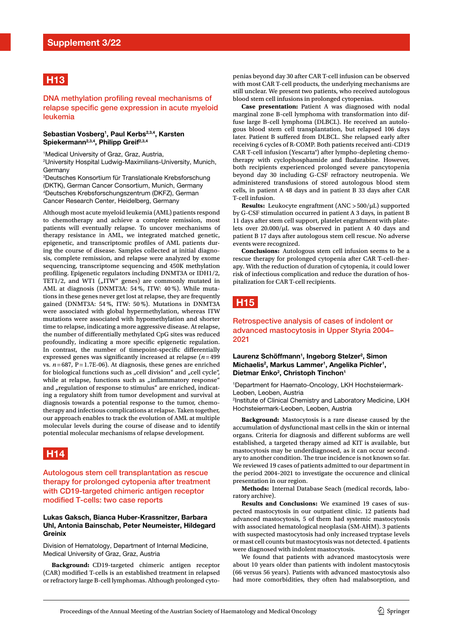# **H13**

DNA methylation profiling reveal mechanisms of relapse specific gene expression in acute myeloid leukemia

#### **Sebastian Vosberg1 , Paul Kerbs2,3,4, Karsten**  Spiekermann<sup>2,3,4</sup>, Philipp Greif<sup>2,3,4</sup>

1 Medical University of Graz, Graz, Austria, 2 University Hospital Ludwig-Maximilians-University, Munich, Germany

3 Deutsches Konsortium für Translationale Krebsforschung (DKTK), German Cancer Consortium, Munich, Germany 4 Deutsches Krebsforschungszentrum (DKFZ), German Cancer Research Center, Heidelberg, Germany

Although most acute myeloid leukemia (AML) patients respond to chemotherapy and achieve a complete remission, most patients will eventually relapse. To uncover mechanisms of therapy resistance in AML, we integrated matched genetic, epigenetic, and transcriptomic profles of AML patients during the course of disease. Samples collected at initial diagnosis, complete remission, and relapse were analyzed by exome sequencing, transcriptome sequencing and 450K methylation profling. Epigenetic regulators including DNMT3A or IDH1/2, TET1/2, and WT1 ("ITW" genes) are commonly mutated in AML at diagnosis (DNMT3A: 54 %, ITW: 40 %). While mutations in these genes never get lost at relapse, they are frequently gained (DNMT3A: 54 %, ITW: 50 %). Mutations in DNMT3A were associated with global hypermethylation, whereas ITW mutations were associated with hypomethylation and shorter time to relapse, indicating a more aggressive disease. At relapse, the number of diferentially methylated CpG sites was reduced profoundly, indicating a more specifc epigenetic regulation. In contrast, the number of timepoint-specifc diferentially expressed genes was signifcantly increased at relapse (*n*=499 vs. *n*=687, P=1.7E-06). At diagnosis, these genes are enriched for biological functions such as "cell division" and "cell cycle", while at relapse, functions such as "inflammatory response" and "regulation of response to stimulus" are enriched, indicating a regulatory shift from tumor development and survival at diagnosis towards a potential response to the tumor, chemotherapy and infectious complications at relapse. Taken together, our approach enables to track the evolution of AML at multiple molecular levels during the course of disease and to identify potential molecular mechanisms of relapse development.



Autologous stem cell transplantation as rescue therapy for prolonged cytopenia after treatment with CD19-targeted chimeric antigen receptor modifed T-cells: two case reports

#### **Lukas Gaksch, Bianca Huber-Krassnitzer, Barbara Uhl, Antonia Bainschab, Peter Neumeister, Hildegard Greinix**

Division of Hematology, Department of Internal Medicine, Medical University of Graz, Graz, Austria

**Background:** CD19-targeted chimeric antigen receptor (CAR) modifed T-cells is an established treatment in relapsed or refractory large B-cell lymphomas. Although prolonged cyto-

penias beyond day 30 after CAR T-cell infusion can be observed with most CAR T-cell products, the underlying mechanisms are still unclear. We present two patients, who received autologous blood stem cell infusions in prolonged cytopenias.

**Case presentation:** Patient A was diagnosed with nodal marginal zone B-cell lymphoma with transformation into diffuse large B-cell lymphoma (DLBCL). He received an autologous blood stem cell transplantation, but relapsed 106 days later. Patient B suffered from DLBCL. She relapsed early after receiving 6 cycles of R-COMP. Both patients received anti-CD19 CAR T-cell infusion (Yescarta®) after lympho-depleting chemotherapy with cyclophosphamide and fudarabine. However, both recipients experienced prolonged severe pancytopenia beyond day 30 including G-CSF refractory neutropenia. We administered transfusions of stored autologous blood stem cells, in patient A 48 days and in patient B 33 days after CAR T-cell infusion.

**Results:** Leukocyte engraftment (ANC >500/µL) supported by G-CSF stimulation occurred in patient A 3 days, in patient B 11 days after stem cell support, platelet engraftment with platelets over  $20.000/\mu$ L was observed in patient A 40 days and patient B 17 days after autologous stem cell rescue. No adverse events were recognized.

**Conclusions:** Autologous stem cell infusion seems to be a rescue therapy for prolonged cytopenia after CAR T-cell-therapy. With the reduction of duration of cytopenia, it could lower risk of infectious complication and reduce the duration of hospitalization for CAR T-cell recipients.

## **H15**

#### Retrospective analysis of cases of indolent or advanced mastocytosis in Upper Styria 2004– 2021

#### Laurenz Schöffmann<sup>1</sup>, Ingeborg Stelzer<sup>2</sup>, Simon Michaelis<sup>2</sup>, Markus Lammer<sup>1</sup>, Angelika Pichler<sup>1</sup>, Dietmar Enko<sup>2</sup>, Christoph Tinchon<sup>1</sup>

1 Department for Haemato-Oncology, LKH Hochsteiermark-Leoben, Leoben, Austria

2 Institute of Clinical Chemistry and Laboratory Medicine, LKH Hochsteiermark-Leoben, Leoben, Austria

**Background:** Mastocytosis is a rare disease caused by the accumulation of dysfunctional mast cells in the skin or internal organs. Criteria for diagnosis and diferent subforms are well established, a targeted therapy aimed ad KIT is available, but mastocytosis may be underdiagnosed, as it can occur secondary to another condition. The true incidence is not known so far. We reviewed 19 cases of patients admitted to our department in the period 2004–2021 to investigate the occurence and clinical presentation in our region.

**Methods:** Internal Database Seach (medical records, laboratory archive).

**Results and Conclusions:** We examined 19 cases of suspected mastocytosis in our outpatient clinic. 12 patients had advanced mastocytosis, 5 of them had systemic mastocytosis with associated hematological neoplasia (SM-AHM). 3 patients with suspected mastocytosis had only increased tryptase levels or mast cell counts but mastocytosis was not detected. 4 patients were diagnosed with indolent mastocytosis.

We found that patients with advanced mastocytosis were about 10 years older than patients with indolent mastocytosis (66 versus 56 years). Patients with advanced mastocytosis also had more comorbidities, they often had malabsorption, and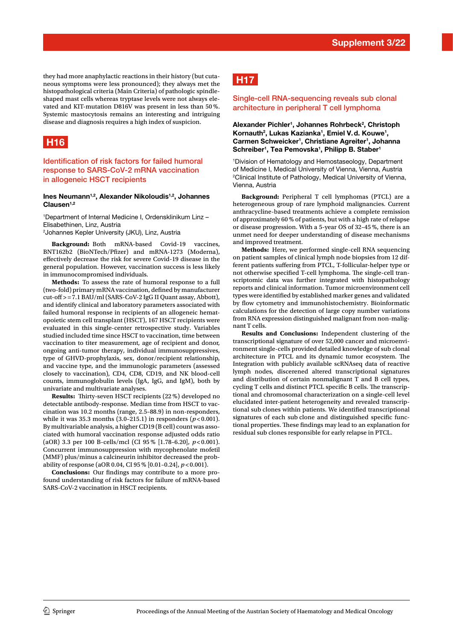they had more anaphylactic reactions in their history (but cutaneous symptoms were less pronounced); they always met the histopathological criteria (Main Criteria) of pathologic spindleshaped mast cells whereas tryptase levels were not always elevated and KIT-mutation D816V was present in less than 50 %. Systemic mastocytosis remains an interesting and intriguing disease and diagnosis requires a high index of suspicion.

# **H16**

Identification of risk factors for failed humoral response to SARS-CoV-2 mRNA vaccination in allogeneic HSCT recipients

#### **Ines Neumann1,2, Alexander Nikoloudis1,2, Johannes Clausen1,2**

1 Department of Internal Medicine I, Ordensklinikum Linz – Elisabethinen, Linz, Austria

2 Johannes Kepler University (JKU), Linz, Austria

**Background:** Both mRNA-based Covid-19 vaccines, BNT162b2 (BioNTech/Pfizer) and mRNA-1273 (Moderna), efectively decrease the risk for severe Covid-19 disease in the general population. However, vaccination success is less likely in immunocompromised individuals.

**Methods:** To assess the rate of humoral response to a full (two-fold) primary mRNA vaccination, defned by manufacturer cut-of >=7.1 BAU/ml (SARS-CoV-2 IgG II Quant assay, Abbott), and identify clinical and laboratory parameters associated with failed humoral response in recipients of an allogeneic hematopoietic stem cell transplant (HSCT), 167 HSCT recipients were evaluated in this single-center retrospective study. Variables studied included time since HSCT to vaccination, time between vaccination to titer measurement, age of recipient and donor, ongoing anti-tumor therapy, individual immunosuppressives, type of GHVD-prophylaxis, sex, donor/recipient relationship, and vaccine type, and the immunologic parameters (assessed closely to vaccination), CD4, CD8, CD19, and NK blood-cell counts, immunoglobulin levels (IgA, IgG, and IgM), both by univariate and multivariate analyses.

**Results:** Thirty-seven HSCT recipients (22 %) developed no detectable antibody-response. Median time from HSCT to vaccination was 10.2 months (range, 2.5–88.9) in non-responders, while it was 35.3 months  $(3.0-215.1)$  in responders  $(p < 0.001)$ . By multivariable analysis, a higher CD19 (B cell) count was associated with humoral vaccination response adjusted odds ratio (aOR) 3.3 per 100 B-cells/mcl (CI 95 % [1.78–6.20], *p*<0.001). Concurrent immunosuppression with mycophenolate mofetil (MMF) plus/minus a calcineurin inhibitor decreased the probability of response (aOR 0.04, CI 95 % [0.01–0.24], *p*<0.001).

**Conclusions:** Our fndings may contribute to a more profound understanding of risk factors for failure of mRNA-based SARS-CoV-2 vaccination in HSCT recipients.

# **H17**

#### Single-cell RNA-sequencing reveals sub clonal architecture in peripheral T cell lymphoma

#### Alexander Pichler<sup>1</sup>, Johannes Rohrbeck<sup>2</sup>, Christoph Kornauth<sup>2</sup>, Lukas Kazianka<sup>1</sup>, Emiel V.d. Kouwe<sup>1</sup>, **Carmen Schweicker1 , Christiane Agreiter1 , Johanna**  Schreiber<sup>1</sup>, Tea Pemovska<sup>1</sup>, Philipp B. Staber<sup>1</sup>

1 Division of Hematology and Hemostaseology, Department of Medicine I, Medical University of Vienna, Vienna, Austria 2 Clinical Institute of Pathology, Medical University of Vienna, Vienna, Austria

**Background:** Peripheral T cell lymphomas (PTCL) are a heterogeneous group of rare lymphoid malignancies. Current anthracycline-based treatments achieve a complete remission of approximately 60 % of patients, but with a high rate of relapse or disease progression. With a 5-year OS of 32–45 %, there is an unmet need for deeper understanding of disease mechanisms and improved treatment.

**Methods:** Here, we performed single-cell RNA sequencing on patient samples of clinical lymph node biopsies from 12 different patients sufering from PTCL, T-follicular-helper type or not otherwise specified T-cell lymphoma. The single-cell transcriptomic data was further integrated with histopathology reports and clinical information. Tumor microenvironment cell types were identifed by established marker genes and validated by flow cytometry and immunohistochemistry. Bioinformatic calculations for the detection of large copy number variations from RNA expression distinguished malignant from non-malignant T cells.

**Results and Conclusions:** Independent clustering of the transcriptional signature of over 52,000 cancer and microenvironment single-cells provided detailed knowledge of sub clonal architecture in PTCL and its dynamic tumor ecosystem. The Integration with publicly available scRNAseq data of reactive lymph nodes, discerened altered transcriptional signatures and distribution of certain nonmalignant T and B cell types, cycling T cells and distinct PTCL specific B cells. The transcriptional and chromosomal characterization on a single-cell level elucidated inter-patient heterogeneity and revealed transcriptional sub clones within patients. We identifed transcriptional signatures of each sub clone and distinguished specific functional properties. These findings may lead to an explanation for residual sub clones responsible for early relapse in PTCL.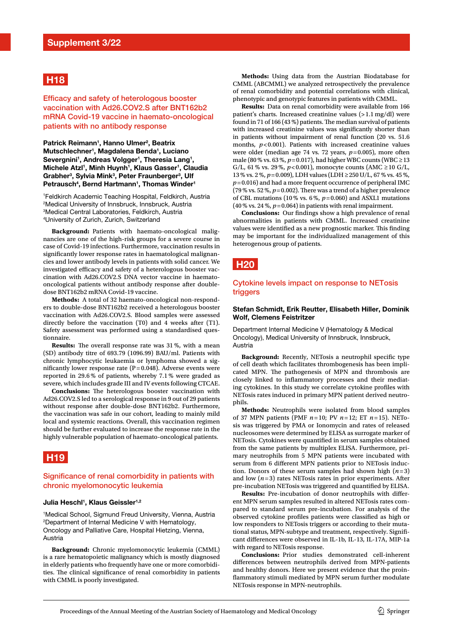## **H18**

Efficacy and safety of heterologous booster vaccination with Ad26.COV2.S after BNT162b2 mRNA Covid-19 vaccine in haemato-oncological patients with no antibody response

Patrick Reimann<sup>1</sup>, Hanno Ulmer<sup>2</sup>, Beatrix **Mutschlechner1 , Magdalena Benda1 , Luciano**  Severgnini<sup>1</sup>, Andreas Volgger<sup>1</sup>, Theresia Lang<sup>1</sup>, Michele Atzl<sup>1</sup>, Minh Huynh<sup>1</sup>, Klaus Gasser<sup>1</sup>, Claudia Grabher<sup>3</sup>, Sylvia Mink<sup>3</sup>, Peter Fraunberger<sup>3</sup>, Ulf **Petrausch4 , Bernd Hartmann1 , Thomas Winder1**

 Feldkirch Academic Teaching Hospital, Feldkirch, Austria Medical University of Innsbruck, Innsbruck, Austria Medical Central Laboratories, Feldkirch, Austria University of Zurich, Zurich, Switzerland

**Background:** Patients with haemato-oncological malignancies are one of the high-risk groups for a severe course in case of Covid-19 infections. Furthermore, vaccination results in signifcantly lower response rates in haematological malignancies and lower antibody levels in patients with solid cancer. We investigated efficacy and safety of a heterologous booster vaccination with Ad26.COV2.S DNA vector vaccine in haematooncological patients without antibody response after doubledose BNT162b2 mRNA Covid-19 vaccine.

**Methods:** A total of 32 haemato-oncological non-responders to double-dose BNT162b2 received a heterologous booster vaccination with Ad26.COV2.S. Blood samples were assessed directly before the vaccination (T0) and 4 weeks after (T1). Safety assessment was performed using a standardised questionnaire.

**Results:** The overall response rate was 31%, with a mean (SD) antibody titre of 693.79 (1096.99) BAU/ml. Patients with chronic lymphocytic leukaemia or lymphoma showed a significantly lower response rate ( $P=0.048$ ). Adverse events were reported in 29.6 % of patients, whereby 7.1 % were graded as severe, which includes grade III and IV events following CTCAE.

**Conclusions:** The heterologous booster vaccination with Ad26.COV2.S led to a serological response in 9 out of 29 patients without response after double-dose BNT162b2. Furthermore, the vaccination was safe in our cohort, leading to mainly mild local and systemic reactions. Overall, this vaccination regimen should be further evaluated to increase the response rate in the highly vulnerable population of haemato-oncological patients.

# **H19**

#### Signifcance of renal comorbidity in patients with chronic myelomonocytic leukemia

#### **Julia Heschl1 , Klaus Geissler1,2**

1 Medical School, Sigmund Freud University, Vienna, Austria 2 Department of Internal Medicine V with Hematology, Oncology and Palliative Care, Hospital Hietzing, Vienna, Austria

**Background:** Chronic myelomonocytic leukemia (CMML) is a rare hematopoietic malignancy which is mostly diagnosed in elderly patients who frequently have one or more comorbidities. The clinical significance of renal comorbidity in patients with CMML is poorly investigated.

**Methods:** Using data from the Austrian Biodatabase for CMML (ABCMML) we analyzed retrospectively the prevalence of renal comorbidity and potential correlations with clinical, phenotypic and genotypic features in patients with CMML.

**Results:** Data on renal comorbidity were available from 166 patient's charts. Increased creatinine values (>1.1 mg/dl) were found in 71 of 166 (43 %) patients. The median survival of patients with increased creatinine values was signifcantly shorter than in patients without impairment of renal function (20 vs. 51.6 months,  $p < 0.001$ ). Patients with increased creatinine values were older (median age 74 vs. 72 years, *p*=0.005), more often male (80% vs. 63%, *p*=0.017), had higher WBC counts (WBC ≥13 G/L, 61 % vs. 29 %,  $p < 0.001$ ), monocyte counts (AMC ≥ 10 G/L, 13% vs. 2%, *p*=0.009), LDH values (LDH ≥250 U/L, 67% vs. 45%, *p*=0.016) and had a more frequent occurrence of peripheral IMC (79% vs. 52%,  $p=0.002$ ). There was a trend of a higher prevalence of CBL mutations (10% vs. 6%, *p*=0.060) and ASXL1 mutations  $(40\% \text{ vs. } 24\%, p=0.064)$  in patients with renal impairment.

**Conclusions:** Our fndings show a high prevalence of renal abnormalities in patients with CMML. Increased creatinine values were identified as a new prognostic marker. This finding may be important for the individualized management of this heterogenous group of patients.

#### **H20**

#### Cytokine levels impact on response to NETosis triggers

#### **Stefan Schmidt, Erik Reutter, Elisabeth Hiller, Dominik Wolf, Clemens Feistritzer**

Department Internal Medicine V (Hematology & Medical Oncology), Medical University of Innsbruck, Innsbruck, Austria

**Background:** Recently, NETosis a neutrophil specifc type of cell death which facilitates thrombogenesis has been implicated MPN. The pathogenesis of MPN and thrombosis are closely linked to infammatory processes and their mediating cytokines. In this study we correlate cytokine profles with NETosis rates induced in primary MPN patient derived neutrophils.

**Methods:** Neutrophils were isolated from blood samples of 37 MPN patients (PMF *n*=10; PV *n*=12; ET *n*=15). NETosis was triggered by PMA or Ionomycin and rates of released nucleosomes were determined by ELISA as surrogate marker of NETosis. Cytokines were quantifed in serum samples obtained from the same patients by multiplex ELISA. Furthermore, primary neutrophils from 5 MPN patients were incubated with serum from 6 diferent MPN patients prior to NETosis induction. Donors of these serum samples had shown high (*n*=3) and low  $(n=3)$  rates NETosis rates in prior experiments. After pre-incubation NETosis was triggered and quantifed by ELISA.

**Results:** Pre-incubation of donor neutrophils with diferent MPN serum samples resulted in altered NETosis rates compared to standard serum pre-incubation. For analysis of the observed cytokine profles patients were classifed as high or low responders to NETosis triggers or according to their mutational status, MPN-subtype and treatment, respectively. Signifcant diferences were observed in IL-1b, IL-13, IL-17A, MIP-1a with regard to NETosis response.

**Conclusions:** Prior studies demonstrated cell-inherent diferences between neutrophils derived from MPN-patients and healthy donors. Here we present evidence that the proinfammatory stimuli mediated by MPN serum further modulate NETosis response in MPN-neutrophils.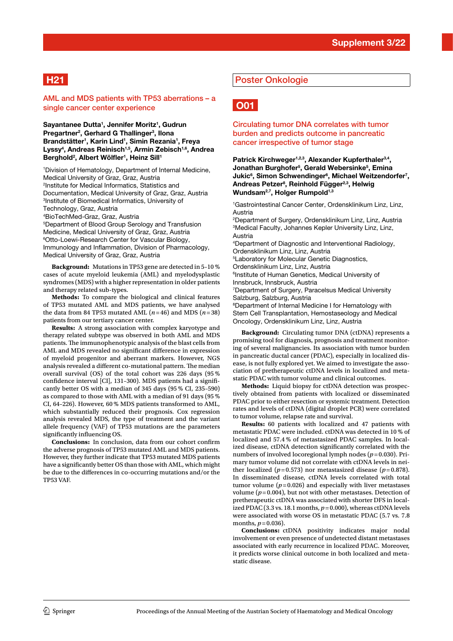# **H21**

AML and MDS patients with TP53 aberrations – a single cancer center experience

Sayantanee Dutta<sup>1</sup>, Jennifer Moritz<sup>1</sup>, Gudrun **Pregartner<sup>2</sup>, Gerhard G Thallinger<sup>3</sup>, Ilona Brandstätter1 , Karin Lind1 , Simin Rezania1 , Freya Lyssy4 , Andreas Reinisch1,5, Armin Zebisch1,6, Andrea**   $Berghold<sup>2</sup>, Albert Wölfler<sup>1</sup>, Heinz Sill<sup>1</sup>$ 

 Division of Hematology, Department of Internal Medicine, Medical University of Graz, Graz, Austria Institute for Medical Informatics, Statistics and Documentation, Medical University of Graz, Graz, Austria Institute of Biomedical Informatics, University of Technology, Graz, Austria BioTechMed-Graz, Graz, Austria Department of Blood Group Serology and Transfusion

Medicine, Medical University of Graz, Graz, Austria 6 Otto-Loewi-Research Center for Vascular Biology, Immunology and Infammation, Division of Pharmacology, Medical University of Graz, Graz, Austria

**Background:** Mutations in TP53 gene are detected in 5–10 % cases of acute myeloid leukemia (AML) and myelodysplastic syndromes (MDS) with a higher representation in older patients and therapy related sub-types.

**Methods:** To compare the biological and clinical features of TP53 mutated AML and MDS patients, we have analysed the data from 84 TP53 mutated AML (*n*=46) and MDS (*n*=38) patients from our tertiary cancer center.

**Results:** A strong association with complex karyotype and therapy related subtype was observed in both AML and MDS patients. The immunophenotypic analysis of the blast cells from AML and MDS revealed no signifcant diference in expression of myeloid progenitor and aberrant markers. However, NGS analysis revealed a different co-mutational pattern. The median overall survival (OS) of the total cohort was 226 days (95 % confdence interval [CI], 131–300). MDS patients had a signifcantly better OS with a median of 345 days (95 % CI, 235–590) as compared to those with AML with a median of 91 days (95 % CI, 64–226). However, 60 % MDS patients transformed to AML, which substantially reduced their prognosis. Cox regression analysis revealed MDS, the type of treatment and the variant allele frequency (VAF) of TP53 mutations are the parameters significantly influencing OS.

**Conclusions:** In conclusion, data from our cohort confrm the adverse prognosis of TP53 mutated AML and MDS patients. However, they further indicate that TP53 mutated MDS patients have a signifcantly better OS than those with AML, which might be due to the diferences in co-occurring mutations and/or the TP53 VAF.

#### Poster Onkologie



Circulating tumor DNA correlates with tumor burden and predicts outcome in pancreatic cancer irrespective of tumor stage

Patrick Kirchweger<sup>1,2,3</sup>, Alexander Kupferthaler<sup>3,4</sup>, **Jonathan Burghofer5 , Gerald Webersinke5 , Emina**  Jukic<sup>6</sup>, Simon Schwendinger<sup>6</sup>, Michael Weitzendorfer<sup>7</sup>, **Andreas Petzer8 , Reinhold Függer2,3, Helwig**  Wundsam<sup>2,7</sup>, Holger Rumpold<sup>1,3</sup>

1 Gastrointestinal Cancer Center, Ordensklinikum Linz, Linz, Austria

2 Department of Surgery, Ordensklinikum Linz, Linz, Austria 3 Medical Faculty, Johannes Kepler University Linz, Linz, Austria

4 Department of Diagnostic and Interventional Radiology, Ordensklinikum Linz, Linz, Austria

5 Laboratory for Molecular Genetic Diagnostics,

Ordensklinikum Linz, Linz, Austria

6 Institute of Human Genetics, Medical University of Innsbruck, Innsbruck, Austria

7 Department of Surgery, Paracelsus Medical University Salzburg, Salzburg, Austria

8 Department of Internal Medicine I for Hematology with Stem Cell Transplantation, Hemostaseology and Medical Oncology, Ordensklinikum Linz, Linz, Austria

**Background:** Circulating tumor DNA (ctDNA) represents a promising tool for diagnosis, prognosis and treatment monitoring of several malignancies. Its association with tumor burden in pancreatic ductal cancer (PDAC), especially in localized disease, is not fully explored yet. We aimed to investigate the association of pretherapeutic ctDNA levels in localized and metastatic PDAC with tumor volume and clinical outcomes.

**Methods:** Liquid biopsy for ctDNA detection was prospectively obtained from patients with localized or disseminated PDAC prior to either resection or systemic treatment. Detection rates and levels of ctDNA (digital droplet PCR) were correlated to tumor volume, relapse rate and survival.

**Results:** 60 patients with localized and 47 patients with metastatic PDAC were included. ctDNA was detected in 10 % of localized and 57.4 % of metastasized PDAC samples. In localized disease, ctDNA detection significantly correlated with the numbers of involved locoregional lymph nodes (*p*=0.030). Primary tumor volume did not correlate with ctDNA levels in neither localized ( $p=0.573$ ) nor metastasized disease ( $p=0.878$ ). In disseminated disease, ctDNA levels correlated with total tumor volume  $(p=0.026)$  and especially with liver metastases volume  $(p=0.004)$ , but not with other metastases. Detection of pretherapeutic ctDNA was associated with shorter DFS in localized PDAC (3.3 vs. 18.1 months,  $p=0.000$ ), whereas ctDNA levels were associated with worse OS in metastatic PDAC (5.7 vs. 7.8 months,  $p=0.036$ ).

**Conclusions:** ctDNA positivity indicates major nodal involvement or even presence of undetected distant metastases associated with early recurrence in localized PDAC. Moreover, it predicts worse clinical outcome in both localized and metastatic disease.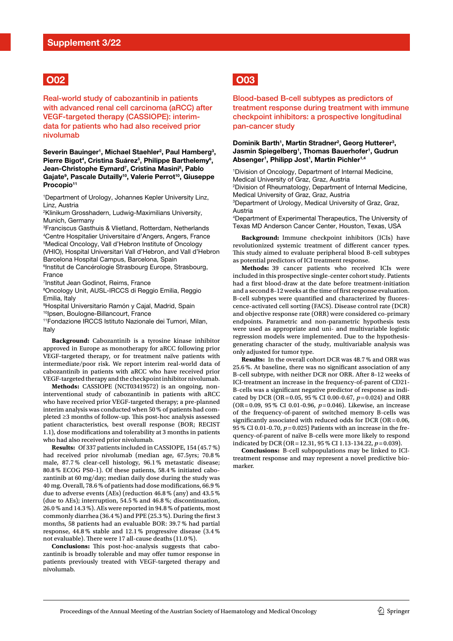## **O02**

Real-world study of cabozantinib in patients with advanced renal cell carcinoma (aRCC) after VEGF-targeted therapy (CASSIOPE): interimdata for patients who had also received prior nivolumab

Severin Bauinger<sup>1</sup>, Michael Staehler<sup>2</sup>, Paul Hamberg<sup>3</sup>, Pierre Bigot<sup>4</sup>, Cristina Suárez<sup>5</sup>, Philippe Barthelemy<sup>6</sup>, **Jean-Christophe Eymard7 , Cristina Masini8 , Pablo Gajate9 , Pascale Dutailly10, Valerie Perrot10, Giuseppe Procopio11**

1 Department of Urology, Johannes Kepler University Linz, Linz, Austria

2 Klinikum Grosshadern, Ludwig-Maximilians University, Munich, Germany

3 Franciscus Gasthuis & Vlietland, Rotterdam, Netherlands 4 Centre Hospitalier Universitaire d'Angers, Angers, France 5 Medical Oncology, Vall d'Hebron Institute of Oncology (VHIO), Hospital Universitari Vall d'Hebron, and Vall d'Hebron Barcelona Hospital Campus, Barcelona, Spain

6 Institut de Cancérologie Strasbourg Europe, Strasbourg, France

7 Institut Jean Godinot, Reims, France

8 Oncology Unit, AUSL-IRCCS di Reggio Emilia, Reggio Emilia, Italy

9 Hospital Universitario Ramón y Cajal, Madrid, Spain 10 Ipsen, Boulogne-Billancourt, France

11Fondazione IRCCS Istituto Nazionale dei Tumori, Milan, Italy

**Background:** Cabozantinib is a tyrosine kinase inhibitor approved in Europe as monotherapy for aRCC following prior VEGF-targeted therapy, or for treatment naïve patients with intermediate/poor risk. We report interim real-world data of cabozantinib in patients with aRCC who have received prior VEGF-targeted therapy and the checkpoint inhibitor nivolumab.

**Methods:** CASSIOPE (NCT03419572) is an ongoing, noninterventional study of cabozantinib in patients with aRCC who have received prior VEGF-targeted therapy; a pre-planned interim analysis was conducted when 50 % of patients had completed ≥3 months of follow-up. This post-hoc analysis assessed patient characteristics, best overall response (BOR; RECIST 1.1), dose modifcations and tolerability at 3 months in patients who had also received prior nivolumab.

**Results:** Of 337 patients included in CASSIOPE, 154 (45.7 %) had received prior nivolumab (median age, 67.5yrs; 70.8 % male, 87.7 % clear-cell histology, 96.1 % metastatic disease; 80.8 % ECOG PS0–1). Of these patients, 58.4 % initiated cabozantinib at 60 mg/day; median daily dose during the study was 40 mg. Overall, 78.6 % of patients had dose modifcations, 66.9 % due to adverse events (AEs) (reduction 46.8 % (any) and 43.5 % (due to AEs); interruption, 54.5 % and 46.8 %; discontinuation, 26.0 % and 14.3 %). AEs were reported in 94.8 % of patients, most commonly diarrhea (36.4 %) and PPE (25.3 %). During the first 3 months, 58 patients had an evaluable BOR: 39.7 % had partial response, 44.8 % stable and 12.1 % progressive disease (3.4 % not evaluable). There were 17 all-cause deaths (11.0 %).

Conclusions: This post-hoc-analysis suggests that cabozantinib is broadly tolerable and may offer tumor response in patients previously treated with VEGF-targeted therapy and nivolumab.

# **O03**

#### Blood-based B-cell subtypes as predictors of treatment response during treatment with immune checkpoint inhibitors: a prospective longitudinal pan-cancer study

#### Dominik Barth<sup>1</sup>, Martin Stradner<sup>2</sup>, Georg Hutterer<sup>3</sup>, **Jasmin Spiegelberg1 , Thomas Bauerhofer1 , Gudrun**  Absenger<sup>1</sup>, Philipp Jost<sup>1</sup>, Martin Pichler<sup>1,4</sup>

1 Division of Oncology, Department of Internal Medicine, Medical University of Graz, Graz, Austria 2 Division of Rheumatology, Department of Internal Medicine, Medical University of Graz, Graz, Austria 3 Department of Urology, Medical University of Graz, Graz, Austria

4 Department of Experimental Therapeutics, The University of Texas MD Anderson Cancer Center, Houston, Texas, USA

**Background:** Immune checkpoint inhibitors (ICIs) have revolutionized systemic treatment of diferent cancer types. This study aimed to evaluate peripheral blood B-cell subtypes as potential predictors of ICI treatment response.

**Methods:** 39 cancer patients who received ICIs were included in this prospective single-center cohort study. Patients had a first blood-draw at the date before treatment-initiation and a second 8-12 weeks at the time of first response evaluation. B-cell subtypes were quantifed and characterized by fuorescence-activated cell sorting (FACS). Disease control rate (DCR) and objective response rate (ORR) were considered co-primary endpoints. Parametric and non-parametric hypothesis tests were used as appropriate and uni- and multivariable logistic regression models were implemented. Due to the hypothesisgenerating character of the study, multivariable analysis was only adjusted for tumor type.

**Results:** In the overall cohort DCR was 48.7 % and ORR was 25.6 %. At baseline, there was no signifcant association of any B-cell subtype, with neither DCR nor ORR. After 8–12 weeks of ICI-treatment an increase in the frequency-of-parent of CD21- B-cells was a signifcant negative predictor of response as indicated by DCR (OR=0.05, 95 % CI 0.00-0.67, *p*=0.024) and ORR (OR=0.09, 95 % CI 0.01-0.96, *p*=0.046). Likewise, an increase of the frequency-of-parent of switched memory B-cells was significantly associated with reduced odds for DCR (OR=0.06, 95 % CI 0.01-0.70, *p*=0.025) Patients with an increase in the frequency-of-parent of naïve B-cells were more likely to respond indicated by DCR (OR=12.31, 95 % CI 1.13-134.22, *p*=0.039).

**Conclusions:** B-cell subpopulations may be linked to ICItreatment response and may represent a novel predictive biomarker.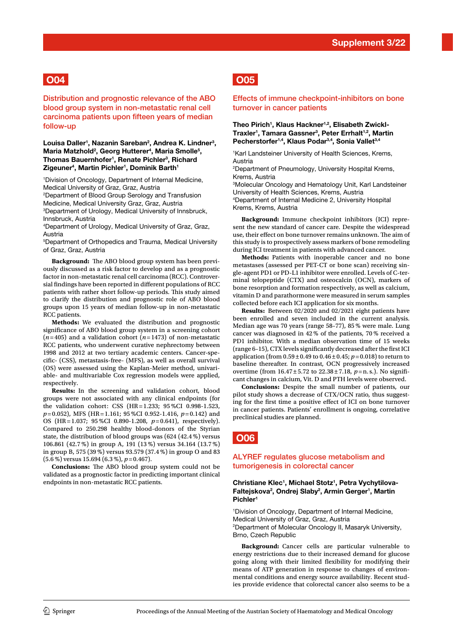# **O04**

Distribution and prognostic relevance of the ABO blood group system in non-metastatic renal cell carcinoma patients upon ffteen years of median follow-up

#### Louisa Daller<sup>1</sup>, Nazanin Sareban<sup>2</sup>, Andrea K. Lindner<sup>3</sup>, Maria Matzhold<sup>2</sup>, Georg Hutterer<sup>4</sup>, Maria Smolle<sup>5</sup>, **Thomas Bauernhofer1 , Renate Pichler3 , Richard Zigeuner4 , Martin Pichler1 , Dominik Barth1**

1 Division of Oncology, Department of Internal Medicine, Medical University of Graz, Graz, Austria

2 Department of Blood Group Serology and Transfusion Medicine, Medical University Graz, Graz, Austria 3 Department of Urology, Medical University of Innsbruck, Innsbruck, Austria

4 Department of Urology, Medical University of Graz, Graz, Austria

5 Department of Orthopedics and Trauma, Medical University of Graz, Graz, Austria

Background: The ABO blood group system has been previously discussed as a risk factor to develop and as a prognostic factor in non-metastatic renal cell carcinoma (RCC). Controversial fndings have been reported in diferent populations of RCC patients with rather short follow-up periods. This study aimed to clarify the distribution and prognostic role of ABO blood groups upon 15 years of median follow-up in non-metastatic RCC patients.

**Methods:** We evaluated the distribution and prognostic signifcance of ABO blood group system in a screening cohort (*n*=405) and a validation cohort (*n*=1473) of non-metastatic RCC patients, who underwent curative nephrectomy between 1998 and 2012 at two tertiary academic centers. Cancer-specifc- (CSS), metastasis-free- (MFS), as well as overall survival (OS) were assessed using the Kaplan-Meier method, univariable- and multivariable Cox regression models were applied, respectively.

**Results:** In the screening and validation cohort, blood groups were not associated with any clinical endpoints (for the validation cohort: CSS (HR=1.233; 95 %CI 0.998-1.523, *p*=0.052), MFS (HR=1.161; 95 %CI 0.952-1.416, *p*=0.142) and OS (HR=1.037; 95 %CI 0.890-1.208, *p*=0.641), respectively). Compared to 250.298 healthy blood-donors of the Styrian state, the distribution of blood groups was (624 (42.4 %) versus 106.861 (42.7 %) in group A, 191 (13 %) versus 34.164 (13.7 %) in group B, 575 (39 %) versus 93.579 (37.4 %) in group O and 83 (5.6 %) versus 15.694 (6.3 %), *p*=0.467).

**Conclusions:** The ABO blood group system could not be validated as a prognostic factor in predicting important clinical endpoints in non-metastatic RCC patients.

## **O05**

#### Effects of immune checkpoint-inhibitors on bone turnover in cancer patients

#### Theo Pirich<sup>1</sup>, Klaus Hackner<sup>1,2</sup>, Elisabeth Zwickl-**Traxler1 , Tamara Gassner3 , Peter Errhalt1,2, Martin Pecherstorfer1,4, Klaus Podar3,4, Sonia Vallet3,4**

1 Karl Landsteiner University of Health Sciences, Krems, Austria

2 Department of Pneumology, University Hospital Krems, Krems, Austria

3 Molecular Oncology and Hematology Unit, Karl Landsteiner University of Health Sciences, Krems, Austria 4 Department of Internal Medicine 2, University Hospital Krems, Krems, Austria

**Background:** Immune checkpoint inhibitors (ICI) represent the new standard of cancer care. Despite the widespread use, their effect on bone turnover remains unknown. The aim of this study is to prospectively assess markers of bone remodeling during ICI treatment in patients with advanced cancer.

**Methods:** Patients with inoperable cancer and no bone metastases (assessed per PET-CT or bone scan) receiving single-agent PD1 or PD-L1 inhibitor were enrolled. Levels of C-terminal telopeptide (CTX) and osteocalcin (OCN), markers of bone resorption and formation respectively, as well as calcium, vitamin D and parathormone were measured in serum samples collected before each ICI application for six months.

**Results:** Between 02/2020 and 02/2021 eight patients have been enrolled and seven included in the current analysis. Median age was 70 years (range 58–77), 85 % were male. Lung cancer was diagnosed in 42 % of the patients, 70 % received a PD1 inhibitor. With a median observation time of 15 weeks (range 6–15), CTX levels signifcantly decreased after the frst ICI application (from  $0.59 \pm 0.49$  to  $0.46 \pm 0.45$ ;  $p = 0.018$ ) to return to baseline thereafter. In contrast, OCN progressively increased overtime (from 16.47±5.72 to 22.38±7.18, *p*=n. s.). No signifcant changes in calcium, Vit. D and PTH levels were observed.

**Conclusions:** Despite the small number of patients, our pilot study shows a decrease of CTX/OCN ratio, thus suggesting for the frst time a positive efect of ICI on bone turnover in cancer patients. Patients' enrollment is ongoing, correlative preclinical studies are planned.

## **O06**

#### ALYREF regulates glucose metabolism and tumorigenesis in colorectal cancer

#### Christiane Klec<sup>1</sup>, Michael Stotz<sup>1</sup>, Petra Vychytilova-Faltejskova<sup>2</sup>, Ondrej Slaby<sup>2</sup>, Armin Gerger<sup>1</sup>, Martin **Pichler1**

1 Division of Oncology, Department of Internal Medicine, Medical University of Graz, Graz, Austria 2 Department of Molecular Oncology II, Masaryk University, Brno, Czech Republic

**Background:** Cancer cells are particular vulnerable to energy restrictions due to their increased demand for glucose going along with their limited fexibility for modifying their means of ATP generation in response to changes of environmental conditions and energy source availability. Recent studies provide evidence that colorectal cancer also seems to be a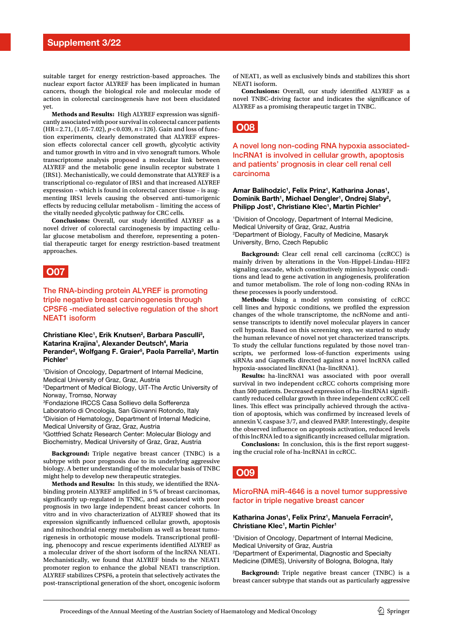suitable target for energy restriction-based approaches. The nuclear export factor ALYREF has been implicated in human cancers, though the biological role and molecular mode of action in colorectal carcinogenesis have not been elucidated yet.

**Methods and Results:** High ALYREF expression was signifcantly associated with poor survival in colorectal cancer patients (HR=2.71, (1.05-7.02), *p*<0.039, *n*=126). Gain and loss of function experiments, clearly demonstrated that ALYREF expression efects colorectal cancer cell growth, glycolytic activity and tumor growth in vitro and in vivo xenograft tumors. Whole transcriptome analysis proposed a molecular link between ALYREF and the metabolic gene insulin receptor substrate 1 (IRS1). Mechanistically, we could demonstrate that ALYREF is a transcriptional co-regulator of IRS1 and that increased ALYREF expression – which is found in colorectal cancer tissue – is augmenting IRS1 levels causing the observed anti-tumorigenic efects by reducing cellular metabolism – limiting the access of the vitally needed glycolytic pathway for CRC cells.

**Conclusions:** Overall, our study identifed ALYREF as a novel driver of colorectal carcinogenesis by impacting cellular glucose metabolism and therefore, representing a potential therapeutic target for energy restriction-based treatment approaches.

## **O07**

The RNA-binding protein ALYREF is promoting triple negative breast carcinogenesis through CPSF6 -mediated selective regulation of the short NEAT1 isoform

Christiane Klec<sup>1</sup>, Erik Knutsen<sup>2</sup>, Barbara Pasculli<sup>3</sup>, **Katarina Krajina1 , Alexander Deutsch4 , Maria**  Perander<sup>2</sup>, Wolfgang F. Graier<sup>5</sup>, Paola Parrella<sup>3</sup>, Martin **Pichler1**

1 Division of Oncology, Department of Internal Medicine, Medical University of Graz, Graz, Austria 2 Department of Medical Biology, UiT-The Arctic University of Norway, Tromsø, Norway 3 Fondazione IRCCS Casa Sollievo della Sofferenza Laboratorio di Oncologia, San Giovanni Rotondo, Italy 4 Division of Hematology, Department of Internal Medicine, Medical University of Graz, Graz, Austria 5 Gottfried Schatz Research Center: Molecular Biology and Biochemistry, Medical University of Graz, Graz, Austria

**Background:** Triple negative breast cancer (TNBC) is a subtype with poor prognosis due to its underlying aggressive biology. A better understanding of the molecular basis of TNBC might help to develop new therapeutic strategies.

**Methods and Results:** In this study, we identifed the RNAbinding protein ALYREF amplifed in 5 % of breast carcinomas, signifcantly up-regulated in TNBC, and associated with poor prognosis in two large independent breast cancer cohorts. In vitro and in vivo characterization of ALYREF showed that its expression signifcantly infuenced cellular growth, apoptosis and mitochondrial energy metabolism as well as breast tumorigenesis in orthotopic mouse models. Transcriptional profling, phenocopy and rescue experiments identifed ALYREF as a molecular driver of the short isoform of the lncRNA NEAT1. Mechanistically, we found that ALYREF binds to the NEAT1 promoter region to enhance the global NEAT1 transcription. ALYREF stabilizes CPSF6, a protein that selectively activates the post-transcriptional generation of the short, oncogenic isoform

of NEAT1, as well as exclusively binds and stabilizes this short NEAT1 isoform.

**Conclusions:** Overall, our study identifed ALYREF as a novel TNBC-driving factor and indicates the signifcance of ALYREF as a promising therapeutic target in TNBC.

## **O08**

A novel long non-coding RNA hypoxia associatedlncRNA1 is involved in cellular growth, apoptosis and patients' prognosis in clear cell renal cell carcinoma

#### Amar Balihodzic<sup>1</sup>, Felix Prinz<sup>1</sup>, Katharina Jonas<sup>1</sup>, Dominik Barth<sup>1</sup>, Michael Dengler<sup>1</sup>, Ondrej Slaby<sup>2</sup>, Philipp Jost<sup>1</sup>, Christiane Klec<sup>1</sup>, Martin Pichler<sup>1</sup>

1 Division of Oncology, Department of Internal Medicine, Medical University of Graz, Graz, Austria 2 Department of Biology, Faculty of Medicine, Masaryk University, Brno, Czech Republic

**Background:** Clear cell renal cell carcinoma (ccRCC) is mainly driven by alterations in the Von-Hippel-Lindau-HIF2 signaling cascade, which constitutively mimics hypoxic conditions and lead to gene activation in angiogenesis, proliferation and tumor metabolism. The role of long non-coding RNAs in these processes is poorly understood.

**Methods:** Using a model system consisting of ccRCC cell lines and hypoxic conditions, we profled the expression changes of the whole transcriptome, the ncRNome and antisense transcripts to identify novel molecular players in cancer cell hypoxia. Based on this screening step, we started to study the human relevance of novel not yet characterized transcripts. To study the cellular functions regulated by those novel transcripts, we performed loss-of-function experiments using siRNAs and GapmeRs directed against a novel lncRNA called hypoxia-associated lincRNA1 (ha-lincRNA1).

**Results:** ha-lincRNA1 was associated with poor overall survival in two independent ccRCC cohorts comprising more than 500 patients. Decreased expression of ha-lincRNA1 signifcantly reduced cellular growth in three independent ccRCC cell lines. This effect was principally achieved through the activation of apoptosis, which was confrmed by increased levels of annexin V, caspase 3/7, and cleaved PARP. Interestingly, despite the observed infuence on apoptosis activation, reduced levels of this lncRNA led to a signifcantly increased cellular migration.

Conclusions: In conclusion, this is the first report suggesting the crucial role of ha-lncRNA1 in ccRCC.



#### MicroRNA miR-4646 is a novel tumor suppressive factor in triple negative breast cancer

#### Katharina Jonas<sup>1</sup>, Felix Prinz<sup>1</sup>, Manuela Ferracin<sup>2</sup>, **Christiane Klec1 , Martin Pichler1**

1 Division of Oncology, Department of Internal Medicine, Medical University of Graz, Austria 2 Department of Experimental, Diagnostic and Specialty

Medicine (DIMES), University of Bologna, Bologna, Italy

**Background:** Triple negative breast cancer (TNBC) is a breast cancer subtype that stands out as particularly aggressive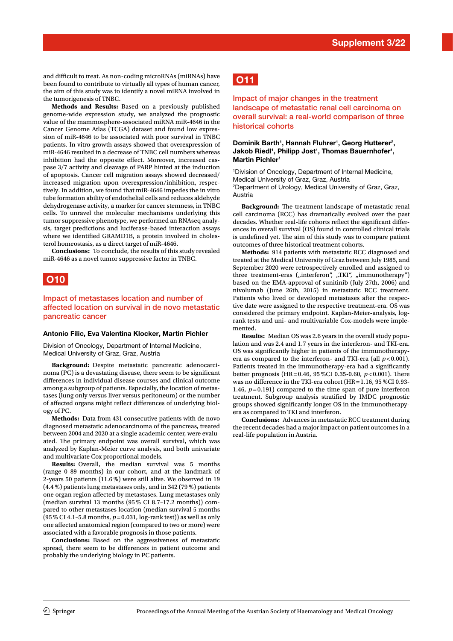and difficult to treat. As non-coding microRNAs (miRNAs) have been found to contribute to virtually all types of human cancer, the aim of this study was to identify a novel miRNA involved in the tumorigenesis of TNBC.

**Methods and Results:** Based on a previously published genome-wide expression study, we analyzed the prognostic value of the mammosphere-associated miRNA miR-4646 in the Cancer Genome Atlas (TCGA) dataset and found low expression of miR-4646 to be associated with poor survival in TNBC patients. In vitro growth assays showed that overexpression of miR-4646 resulted in a decrease of TNBC cell numbers whereas inhibition had the opposite effect. Moreover, increased caspase 3/7 activity and cleavage of PARP hinted at the induction of apoptosis. Cancer cell migration assays showed decreased/ increased migration upon overexpression/inhibition, respectively. In addition, we found that miR-4646 impedes the in vitro tube formation ability of endothelial cells and reduces aldehyde dehydrogenase activity, a marker for cancer stemness, in TNBC cells. To unravel the molecular mechanisms underlying this tumor suppressive phenotype, we performed an RNAseq analysis, target predictions and luciferase-based interaction assays where we identifed GRAMD1B, a protein involved in cholesterol homeostasis, as a direct target of miR-4646.

**Conclusions:** To conclude, the results of this study revealed miR-4646 as a novel tumor suppressive factor in TNBC.

## **O10**

Impact of metastases location and number of affected location on survival in de novo metastatic pancreatic cancer

#### **Antonio Filic, Eva Valentina Klocker, Martin Pichler**

Division of Oncology, Department of Internal Medicine, Medical University of Graz, Graz, Austria

**Background:** Despite metastatic pancreatic adenocarcinoma (PC) is a devastating disease, there seem to be signifcant diferences in individual disease courses and clinical outcome among a subgroup of patients. Especially, the location of metastases (lung only versus liver versus peritoneum) or the number of afected organs might refect diferences of underlying biology of PC.

**Methods:** Data from 431 consecutive patients with de novo diagnosed metastatic adenocarcinoma of the pancreas, treated between 2004 and 2020 at a single academic center, were evaluated. The primary endpoint was overall survival, which was analyzed by Kaplan-Meier curve analysis, and both univariate and multivariate Cox proportional models.

**Results:** Overall, the median survival was 5 months (range 0–89 months) in our cohort, and at the landmark of 2-years 50 patients (11.6 %) were still alive. We observed in 19 (4.4 %) patients lung metastases only, and in 342 (79 %) patients one organ region afected by metastases. Lung metastases only (median survival 13 months (95 % CI 8.7–17.2 months)) compared to other metastases location (median survival 5 months (95 % CI 4.1–5.8 months, *p*=0.031, log-rank test)) as well as only one afected anatomical region (compared to two or more) were associated with a favorable prognosis in those patients.

**Conclusions:** Based on the aggressiveness of metastatic spread, there seem to be diferences in patient outcome and probably the underlying biology in PC patients.

# **O11**

Impact of major changes in the treatment landscape of metastatic renal cell carcinoma on overall survival: a real-world comparison of three historical cohorts

#### Dominik Barth<sup>1</sup>, Hannah Fluhrer<sup>1</sup>, Georg Hutterer<sup>2</sup>, Jakob Riedl<sup>1</sup>, Philipp Jost<sup>1</sup>, Thomas Bauernhofer<sup>1</sup>, **Martin Pichler1**

1 Division of Oncology, Department of Internal Medicine, Medical University of Graz, Graz, Austria 2 Department of Urology, Medical University of Graz, Graz, Austria

**Background:** The treatment landscape of metastatic renal cell carcinoma (RCC) has dramatically evolved over the past decades. Whether real-life cohorts reflect the significant differences in overall survival (OS) found in controlled clinical trials is undefined yet. The aim of this study was to compare patient outcomes of three historical treatment cohorts.

**Methods:** 914 patients with metastatic RCC diagnosed and treated at the Medical University of Graz between July 1985, and September 2020 were retrospectively enrolled and assigned to three treatment-eras ("interferon", "TKI", "immunotherapy") based on the EMA-approval of sunitinib (July 27th, 2006) and nivolumab (June 26th, 2015) in metastatic RCC treatment. Patients who lived or developed metastases after the respective date were assigned to the respective treatment-era. OS was considered the primary endpoint. Kaplan-Meier-analysis, logrank tests and uni- and multivariable Cox-models were implemented.

**Results:** Median OS was 2.6 years in the overall study population and was 2.4 and 1.7 years in the interferon- and TKI-era. OS was signifcantly higher in patients of the immunotherapyera as compared to the interferon- and TKI-era (all  $p < 0.001$ ). Patients treated in the immunotherapy-era had a significantly better prognosis (HR=0.46, 95 %CI 0.35-0.60,  $p < 0.001$ ). There was no diference in the TKI-era cohort (HR=1.16, 95 %CI 0.93- 1.46, *p*=0.191) compared to the time span of pure interferon treatment. Subgroup analysis stratifed by IMDC prognostic groups showed signifcantly longer OS in the immunotherapyera as compared to TKI and interferon.

**Conclusions:** Advances in metastatic RCC treatment during the recent decades had a major impact on patient outcomes in a real-life population in Austria.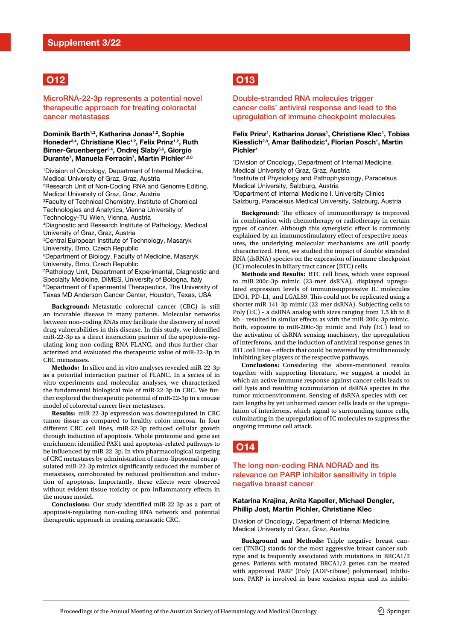

MicroRNA-22-3p represents a potential novel therapeutic approach for treating colorectal cancer metastases

**Dominik Barth1,2, Katharina Jonas1,2, Sophie Honeder3,4, Christiane Klec1,2, Felix Prinz1,2, Ruth Birner-Gruenberger3,4, Ondrej Slaby5,6, Giorgio Durante7 , Manuela Ferracin7 , Martin Pichler1,2,8**

1 Division of Oncology, Department of Internal Medicine, Medical University of Graz, Graz, Austria 2 Research Unit of Non-Coding RNA and Genome Editing, Medical University of Graz, Graz, Austria 3 Faculty of Technical Chemistry, Institute of Chemical Technologies and Analytics, Vienna University of Technology-TU Wien, Vienna, Austria 4 Diagnostic and Research Institute of Pathology, Medical University of Graz, Graz, Austria 5 Central European Institute of Technology, Masaryk University, Brno, Czech Republic 6 Department of Biology, Faculty of Medicine, Masaryk University, Brno, Czech Republic 7 Pathology Unit, Department of Experimental, Diagnostic and Specialty Medicine, DIMES, University of Bologna, Italy 8 Department of Experimental Therapeutics, The University of Texas MD Anderson Cancer Center, Houston, Texas, USA

**Background:** Metastatic colorectal cancer (CRC) is still an incurable disease in many patients. Molecular networks between non-coding RNAs may facilitate the discovery of novel drug vulnerabilities in this disease. In this study, we identifed miR-22-3p as a direct interaction partner of the apoptosis-regulating long non-coding RNA FLANC, and thus further characterized and evaluated the therapeutic value of miR-22-3p in CRC metastases.

**Methods:** In silico and in vitro analyses revealed miR-22-3p as a potential interaction partner of FLANC. In a series of in vitro experiments and molecular analyses, we characterized the fundamental biological role of miR-22-3p in CRC. We further explored the therapeutic potential of miR-22-3p in a mouse model of colorectal cancer liver metastases.

**Results:** miR-22-3p expression was downregulated in CRC tumor tissue as compared to healthy colon mucosa. In four diferent CRC cell lines, miR-22-3p reduced cellular growth through induction of apoptosis. Whole proteome and gene set enrichment identifed PAK1 and apoptosis-related pathways to be infuenced by miR-22-3p. In vivo pharmacological targeting of CRC metastases by administration of nano-liposomal encapsulated miR-22-3p mimics signifcantly reduced the number of metastases, corroborated by reduced proliferation and induction of apoptosis. Importantly, these efects were observed without evident tissue toxicity or pro-infammatory efects in the mouse model.

**Conclusions:** Our study identifed miR-22-3p as a part of apoptosis-regulating non-coding RNA network and potential therapeutic approach in treating metastatic CRC.

# **O13**

#### Double-stranded RNA molecules trigger cancer cells' antiviral response and lead to the upregulation of immune checkpoint molecules

#### Felix Prinz<sup>1</sup>, Katharina Jonas<sup>1</sup>, Christiane Klec<sup>1</sup>, Tobias Kiesslich<sup>2,3</sup>, Amar Balihodzic<sup>1</sup>, Florian Posch<sup>1</sup>, Martin **Pichler1**

1 Division of Oncology, Department of Internal Medicine, Medical University of Graz, Graz, Austria 2 Institute of Physiology and Pathophysiology, Paracelsus Medical University, Salzburg, Austria 3 Department of Internal Medicine I, University Clinics Salzburg, Paracelsus Medical University, Salzburg, Austria

**Background:** The efficacy of immunotherapy is improved in combination with chemotherapy or radiotherapy in certain types of cancer. Although this synergistic efect is commonly explained by an immunostimulatory efect of respective measures, the underlying molecular mechanisms are still poorly characterized. Here, we studied the impact of double stranded RNA (dsRNA) species on the expression of immune checkpoint (IC) molecules in biliary tract cancer (BTC) cells.

**Methods and Results:** BTC cell lines, which were exposed to miR-200c-3p mimic (23-mer dsRNA), displayed upregulated expression levels of immunosuppressive IC molecules IDO1, PD-L1, and LGALS9. This could not be replicated using a shorter miR-141-3p mimic (22-mer dsRNA). Subjecting cells to Poly (I:C) – a dsRNA analog with sizes ranging from 1.5 kb to 8 kb – resulted in similar efects as with the miR-200c-3p mimic. Both, exposure to miR-200c-3p mimic and Poly (I:C) lead to the activation of dsRNA sensing machinery, the upregulation of interferons, and the induction of antiviral response genes in BTC cell lines – efects that could be reversed by simultaneously inhibiting key players of the respective pathways.

**Conclusions:** Considering the above-mentioned results together with supporting literature, we suggest a model in which an active immune response against cancer cells leads to cell lysis and resulting accumulation of dsRNA species in the tumor microenvironment. Sensing of dsRNA species with certain lengths by yet unharmed cancer cells leads to the upregulation of interferons, which signal to surrounding tumor cells, culminating in the upregulation of IC molecules to suppress the ongoing immune cell attack.



#### The long non-coding RNA NORAD and its relevance on PARP inhibitor sensitivity in triple negative breast cancer

#### **Katarina Krajina, Anita Kapeller, Michael Dengler, Phillip Jost, Martin Pichler, Christiane Klec**

Division of Oncology, Department of Internal Medicine, Medical University of Graz, Graz, Austria

**Background and Methods:** Triple negative breast cancer (TNBC) stands for the most aggressive breast cancer subtype and is frequently associated with mutations in BRCA1/2 genes. Patients with mutated BRCA1/2 genes can be treated with approved PARP (Poly (ADP-ribose) polymerase) inhibitors. PARP is involved in base excision repair and its inhibi-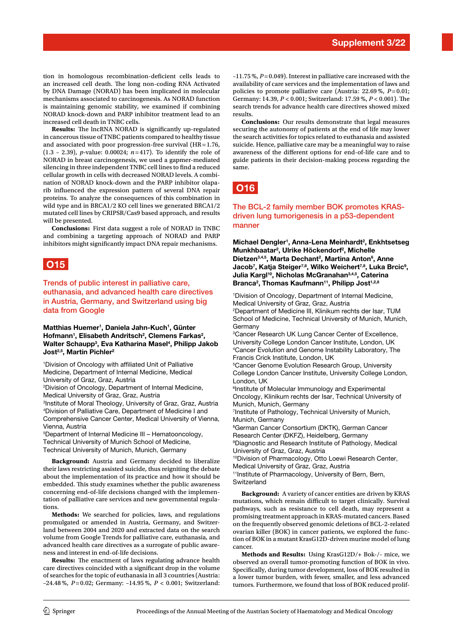tion in homologous recombination-deficient cells leads to an increased cell death. The long non-coding RNA Activated by DNA Damage (NORAD) has been implicated in molecular mechanisms associated to carcinogenesis. As NORAD function is maintaining genomic stability, we examined if combining NORAD knock-down and PARP inhibitor treatment lead to an increased cell death in TNBC cells.

**Results:** The lncRNA NORAD is significantly up-regulated in cancerous tissue of TNBC patients compared to healthy tissue and associated with poor progression-free survival (HR=1.76, (1.3 – 2.39), *p*-value: 0.00024; *n*=417). To identify the role of NORAD in breast carcinogenesis, we used a gapmer-mediated silencing in three independent TNBC cell lines to fnd a reduced cellular growth in cells with decreased NORAD levels. A combination of NORAD knock-down and the PARP inhibitor olaparib infuenced the expression pattern of several DNA repair proteins. To analyze the consequences of this combination in wild type and in BRCA1/2 KO cell lines we generated BRCA1/2 mutated cell lines by CRIPSR/Cas9 based approach, and results will be presented.

**Conclusions:** First data suggest a role of NORAD in TNBC and combining a targeting approach of NORAD and PARP inhibitors might significantly impact DNA repair mechanisms.

## **O15**

Trends of public interest in palliative care, euthanasia, and advanced health care directives in Austria, Germany, and Switzerland using big data from Google

**Matthias Huemer1 , Daniela Jahn-Kuch1 , Günter**  Hofmann<sup>1</sup>, Elisabeth Andritsch<sup>2</sup>, Clemens Farkas<sup>2</sup>, **Walter Schaupp3 , Eva Katharina Masel4 , Philipp Jakob Jost2,5, Martin Pichler2**

<sup>1</sup>Division of Oncology with affiliated Unit of Palliative Medicine, Department of Internal Medicine, Medical University of Graz, Graz, Austria

2 Division of Oncology, Department of Internal Medicine, Medical University of Graz, Graz, Austria

3 Institute of Moral Theology, University of Graz, Graz, Austria 4 Division of Palliative Care, Department of Medicine I and Comprehensive Cancer Center, Medical University of Vienna, Vienna, Austria

5 Department of Internal Medicine III – Hematooncology, Technical University of Munich School of Medicine, Technical University of Munich, Munich, Germany

**Background:** Austria and Germany decided to liberalize their laws restricting assisted suicide, thus reigniting the debate about the implementation of its practice and how it should be embedded. This study examines whether the public awareness concerning end-of-life decisions changed with the implementation of palliative care services and new governmental regulations.

**Methods:** We searched for policies, laws, and regulations promulgated or amended in Austria, Germany, and Switzerland between 2004 and 2020 and extracted data on the search volume from Google Trends for palliative care, euthanasia, and advanced health care directives as a surrogate of public awareness and interest in end-of-life decisions.

**Results:** The enactment of laws regulating advance health care directives coincided with a signifcant drop in the volume of searches for the topic of euthanasia in all 3 countries (Austria: –24.48 %, *P*=0.02; Germany: –14.95 %, *P* < 0.001; Switzerland:

–11.75 %, *P*=0.049). Interest in palliative care increased with the availability of care services and the implementation of laws and policies to promote palliative care (Austria: 22.69 %, *P*=0.01; Germany: 14.39, *P* < 0.001; Switzerland: 17.59 %, *P* < 0.001). Te search trends for advance health care directives showed mixed results.

**Conclusions:** Our results demonstrate that legal measures securing the autonomy of patients at the end of life may lower the search activities for topics related to euthanasia and assisted suicide. Hence, palliative care may be a meaningful way to raise awareness of the diferent options for end-of-life care and to guide patients in their decision-making process regarding the same.

# **O16**

The BCL-2 family member BOK promotes KRASdriven lung tumorigenesis in a p53-dependent manner

**Michael Dengler1 , Anna-Lena Meinhardt2 , Enkhtsetseg Munkhbaatar2 , Ulrike Höckendorf2 , Michelle**  Dietzen<sup>3,4,5</sup>, Marta Dechant<sup>2</sup>, Martina Anton<sup>6</sup>, Anne Jacob<sup>7</sup>, Katja Steiger<sup>7,8</sup>, Wilko Weichert<sup>7,8</sup>, Luka Brcic<sup>9</sup>, **Julia Kargl10, Nicholas McGranahan3,4,5, Caterina**  Branca<sup>2</sup>, Thomas Kaufmann<sup>11</sup>, Philipp Jost<sup>1,2,8</sup>

1 Division of Oncology, Department of Internal Medicine, Medical University of Graz, Graz, Austria 2 Department of Medicine III, Klinikum rechts der Isar, TUM School of Medicine, Technical University of Munich, Munich, Germany

3 Cancer Research UK Lung Cancer Center of Excellence, University College London Cancer Institute, London, UK 4 Cancer Evolution and Genome Instability Laboratory, The Francis Crick Institute, London, UK

5 Cancer Genome Evolution Research Group, University College London Cancer Institute, University College London, London, UK

6 Institute of Molecular Immunology and Experimental Oncology, Klinikum rechts der Isar, Technical University of Munich, Munich, Germany

7 Institute of Pathology, Technical University of Munich, Munich, Germany

8 German Cancer Consortium (DKTK), German Cancer Research Center (DKFZ), Heidelberg, Germany

9 Diagnostic and Research Institute of Pathology, Medical University of Graz, Graz, Austria

10Division of Pharmacology, Otto Loewi Research Center, Medical University of Graz, Graz, Austria

<sup>11</sup>Institute of Pharmacology, University of Bern, Bern, **Switzerland** 

**Background:** A variety of cancer entities are driven by KRAS mutations, which remain difficult to target clinically. Survival pathways, such as resistance to cell death, may represent a promising treatment approach in KRAS-mutated cancers. Based on the frequently observed genomic deletions of BCL-2-related ovarian killer (BOK) in cancer patients, we explored the function of BOK in a mutant KrasG12D-driven murine model of lung cancer.

**Methods and Results:** Using KrasG12D/+ Bok-/- mice, we observed an overall tumor-promoting function of BOK in vivo. Specifcally, during tumor development, loss of BOK resulted in a lower tumor burden, with fewer, smaller, and less advanced tumors. Furthermore, we found that loss of BOK reduced prolif-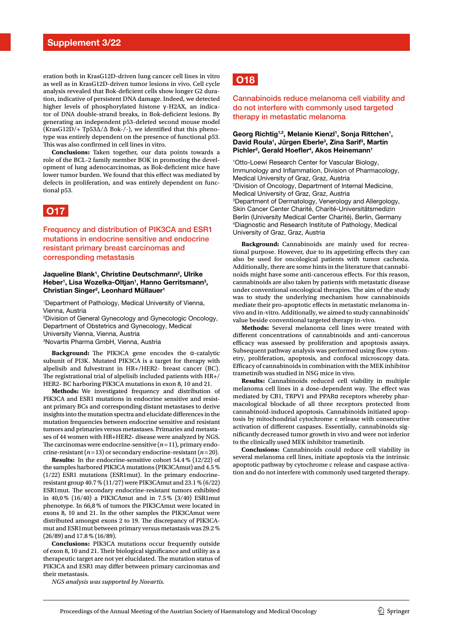eration both in KrasG12D-driven lung cancer cell lines in vitro as well as in KrasG12D-driven tumor lesions in vivo. Cell cycle analysis revealed that Bok-deficient cells show longer G2 duration, indicative of persistent DNA damage. Indeed, we detected higher levels of phosphorylated histone γ-H2AX, an indicator of DNA double-strand breaks, in Bok-deficient lesions. By generating an independent p53-deleted second mouse model (KrasG12D/+ Tp53∆/∆ Bok-/-), we identifed that this phenotype was entirely dependent on the presence of functional p53. This was also confirmed in cell lines in vitro.

**Conclusions:** Taken together, our data points towards a role of the BCL-2 family member BOK in promoting the development of lung adenocarcinomas, as Bok-deficient mice have lower tumor burden. We found that this effect was mediated by defects in proliferation, and was entirely dependent on functional p53.

## **O17**

Frequency and distribution of PIK3CA and ESR1 mutations in endocrine sensitive and endocrine resistant primary breast carcinomas and corresponding metastasis

#### **Jaqueline Blank1 , Christine Deutschmann2 , Ulrike**  Heber<sup>1</sup>, Lisa Wozelka-Oltjan<sup>1</sup>, Hanno Gerritsmann<sup>3</sup>, **Christian Singer2 , Leonhard Müllauer1**

1 Department of Pathology, Medical University of Vienna, Vienna, Austria

2 Division of General Gynecology and Gynecologic Oncology, Department of Obstetrics and Gynecology, Medical University Vienna, Vienna, Austria 3 Novartis Pharma GmbH, Vienna, Austria

Background: The PIK3CA gene encodes the α-catalytic subunit of PI3K. Mutated PIK3CA is a target for therapy with alpelisib and fulvestrant in HR+/HER2- breast cancer (BC). The registrational trial of alpelisib included patients with  $HR+/$ HER2- BC harboring PIK3CA mutations in exon 8, 10 and 21.

**Methods:** We investigated frequency and distribution of PIK3CA and ESR1 mutations in endocrine sensitive and resistant primary BCs and corresponding distant metastases to derive insights into the mutation spectra and elucidate diferences in the mutation frequencies between endocrine sensitive and resistant tumors and primaries versus metastases. Primaries and metastases of 44 women with HR+HER2- disease were analyzed by NGS. The carcinomas were endocrine-sensitive  $(n=11)$ , primary endocrine-resistant (*n*=13) or secondary endocrine-resistant (*n*=20).

**Results:** In the endocrine-sensitive cohort 54.4% (12/22) of the samples harbored PIK3CA mutations (PIK3CAmut) and 4.5% (1/22) ESR1 mutations (ESR1mut). In the primary endocrineresistant group 40.7% (11/27) were PIK3CAmut and 23.1% (6/22) ESR1mut. The secondary endocrine-resistant tumors exhibited in 40,0% (16/40) a PIK3CAmut and in 7.5% (3/40) ESR1mut phenotype. In 66,8% of tumors the PIK3CAmut were located in exons 8, 10 and 21. In the other samples the PIK3CAmut were distributed amongst exons 2 to 19. The discrepancy of PIK3CAmut and ESR1mut between primary versus metastasis was 29.2% (26/89) and 17.8% (16/89).

**Conclusions:** PIK3CA mutations occur frequently outside of exon 8, 10 and 21. Their biological significance and utility as a therapeutic target are not yet elucidated. The mutation status of PIK3CA and ESR1 may difer between primary carcinomas and their metastasis.

*NGS analysis was supported by Novartis.*

# **O18**

Cannabinoids reduce melanoma cell viability and do not interfere with commonly used targeted therapy in metastatic melanoma

#### Georg Richtig<sup>1,2</sup>, Melanie Kienzl<sup>1</sup>, Sonja Rittchen<sup>1</sup>, David Roula<sup>1</sup>, Jürgen Eberle<sup>3</sup>, Zina Sarif<sup>3</sup>, Martin Pichler<sup>2</sup>, Gerald Hoefler<sup>4</sup>, Akos Heinemann<sup>1</sup>

1 Otto-Loewi Research Center for Vascular Biology, Immunology and Infammation, Division of Pharmacology, Medical University of Graz, Graz, Austria 2 Division of Oncology, Department of Internal Medicine, Medical University of Graz, Graz, Austria 3 Department of Dermatology, Venerology and Allergology, Skin Cancer Center Charité, Charité-Universitätsmedizin Berlin (University Medical Center Charité), Berlin, Germany 4 Diagnostic and Research Institute of Pathology, Medical University of Graz, Graz, Austria

**Background:** Cannabinoids are mainly used for recreational purpose. However, due to its appetizing effects they can also be used for oncological patients with tumor cachexia. Additionally, there are some hints in the literature that cannabinoids might have some anti-cancerous efects. For this reason, cannabinoids are also taken by patients with metastatic disease under conventional oncological therapies. The aim of the study was to study the underlying mechanism how cannabinoids mediate their pro-apoptotic efects in metastatic melanoma invivo and in-vitro. Additionally, we aimed to study cannabinoids' value beside conventional targeted therapy in-vivo.

**Methods:** Several melanoma cell lines were treated with diferent concentrations of cannabinoids and anti-cancerous efficacy was assessed by proliferation and apoptosis assays. Subsequent pathway analysis was performed using flow cytometry, proliferation, apoptosis, and confocal microscopy data. Efficacy of cannabinoids in combination with the MEK inhibitor trametinib was studied in NSG mice in vivo.

**Results:** Cannabinoids reduced cell viability in multiple melanoma cell lines in a dose-dependent way. The effect was mediated by CB1, TRPV1 and PPARα receptors whereby pharmacological blockade of all three receptors protected from cannabinoid-induced apoptosis. Cannabinoids initiated apoptosis by mitochondrial cytochrome c release with consecutive activation of diferent caspases. Essentially, cannabinoids signifcantly decreased tumor growth in vivo and were not inferior to the clinically used MEK inhibitor trametinib.

**Conclusions:** Cannabinoids could reduce cell viability in several melanoma cell lines, initiate apoptosis via the intrinsic apoptotic pathway by cytochrome c release and caspase activation and do not interfere with commonly used targeted therapy.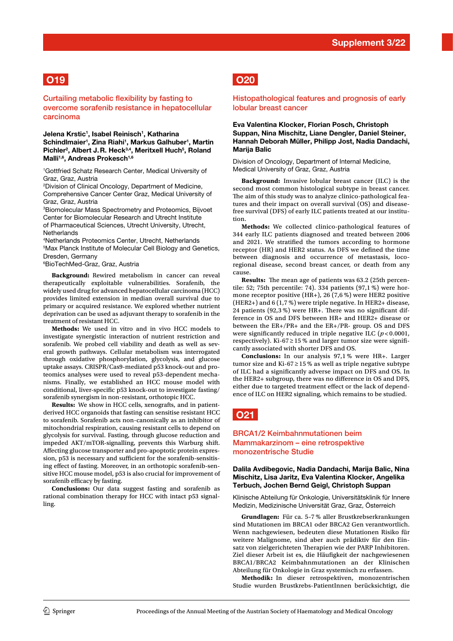# **O19**

Curtailing metabolic flexibility by fasting to overcome sorafenib resistance in hepatocellular carcinoma

**Jelena Krstic1 , Isabel Reinisch1 , Katharina Schindlmaier1 , Zina Riahi1 , Markus Galhuber1 , Martin**  Pichler<sup>2</sup>, Albert J. R. Heck<sup>3,4</sup>, Meritxell Huch<sup>5</sup>, Roland Malli<sup>1,6</sup>, Andreas Prokesch<sup>1,6</sup>

1 Gottfried Schatz Research Center, Medical University of Graz, Graz, Austria

2 Division of Clinical Oncology, Department of Medicine, Comprehensive Cancer Center Graz, Medical University of Graz, Graz, Austria

3 Biomolecular Mass Spectrometry and Proteomics, Bijvoet Center for Biomolecular Research and Utrecht Institute of Pharmaceutical Sciences, Utrecht University, Utrecht, **Netherlands** 

4 Netherlands Proteomics Center, Utrecht, Netherlands 5 Max Planck Institute of Molecular Cell Biology and Genetics, Dresden, Germany

6 BioTechMed-Graz, Graz, Austria

**Background:** Rewired metabolism in cancer can reveal therapeutically exploitable vulnerabilities. Sorafenib, the widely used drug for advanced hepatocellular carcinoma (HCC) provides limited extension in median overall survival due to primary or acquired resistance. We explored whether nutrient deprivation can be used as adjuvant therapy to sorafenib in the treatment of resistant HCC.

**Methods:** We used in vitro and in vivo HCC models to investigate synergistic interaction of nutrient restriction and sorafenib. We probed cell viability and death as well as several growth pathways. Cellular metabolism was interrogated through oxidative phosphorylation, glycolysis, and glucose uptake assays. CRISPR/Cas9-mediated p53 knock-out and proteomics analyses were used to reveal p53-dependent mechanisms. Finally, we established an HCC mouse model with conditional, liver-specific p53 knock-out to investigate fasting/ sorafenib synergism in non-resistant, orthotopic HCC.

**Results:** We show in HCC cells, xenografts, and in patientderived HCC organoids that fasting can sensitise resistant HCC to sorafenib. Sorafenib acts non-canonically as an inhibitor of mitochondrial respiration, causing resistant cells to depend on glycolysis for survival. Fasting, through glucose reduction and impeded AKT/mTOR-signalling, prevents this Warburg shift. Afecting glucose transporter and pro-apoptotic protein expression, p53 is necessary and sufficient for the sorafenib-sensitising efect of fasting. Moreover, in an orthotopic sorafenib-sensitive HCC mouse model, p53 is also crucial for improvement of sorafenib efficacy by fasting.

**Conclusions:** Our data suggest fasting and sorafenib as rational combination therapy for HCC with intact p53 signalling.

## **O20**

Histopathological features and prognosis of early lobular breast cancer

**Eva Valentina Klocker, Florian Posch, Christoph Suppan, Nina Mischitz, Liane Dengler, Daniel Steiner, Hannah Deborah Müller, Philipp Jost, Nadia Dandachi, Marija Balic**

Division of Oncology, Department of Internal Medicine, Medical University of Graz, Graz, Austria

**Background:** Invasive lobular breast cancer (ILC) is the second most common histological subtype in breast cancer. The aim of this study was to analyze clinico-pathological features and their impact on overall survival (OS) and diseasefree survival (DFS) of early ILC patients treated at our institution.

**Methods:** We collected clinico-pathological features of 344 early ILC patients diagnosed and treated between 2006 and 2021. We stratifed the tumors according to hormone receptor (HR) and HER2 status. As DFS we defned the time between diagnosis and occurrence of metastasis, locoregional disease, second breast cancer, or death from any cause.

**Results:** The mean age of patients was 63.2 (25th percentile: 52; 75th percentile: 74). 334 patients (97,1 %) were hormone receptor positive (HR+), 26 (7,6 %) were HER2 positive (HER2+) and 6 (1,7 %) were triple negative. In HER2+ disease, 24 patients (92,3 %) were HR+. There was no significant difference in OS and DFS between HR+ and HER2+ disease or between the ER+/PR+ and the ER+/PR- group. OS and DFS were significantly reduced in triple negative ILC  $(p<0.0001,$ respectively). Ki-67  $\geq$  15 % and larger tumor size were significantly associated with shorter DFS and OS.

**Conclusions:** In our analysis 97,1 % were HR+. Larger tumor size and Ki-67  $\geq$  15 % as well as triple negative subtype of ILC had a signifcantly adverse impact on DFS and OS. In the HER2+ subgroup, there was no diference in OS and DFS, either due to targeted treatment efect or the lack of dependence of ILC on HER2 signaling, which remains to be studied.

# **O21**

#### BRCA1/2 Keimbahnmutationen beim Mammakarzinom – eine retrospektive monozentrische Studie

#### **Dalila Avdibegovic, Nadia Dandachi, Marija Balic, Nina Mischitz, Lisa Jaritz, Eva Valentina Klocker, Angelika Terbuch, Jochen Bernd Geigl, Christoph Suppan**

Klinische Abteilung für Onkologie, Universitätsklinik für Innere Medizin, Medizinische Universität Graz, Graz, Österreich

**Grundlagen:** Für ca. 5–7 % aller Brustkrebserkrankungen sind Mutationen im BRCA1 oder BRCA2 Gen verantwortlich. Wenn nachgewiesen, bedeuten diese Mutationen Risiko für weitere Malignome, sind aber auch prädiktiv für den Einsatz von zielgerichteten Therapien wie der PARP Inhibitoren. Ziel dieser Arbeit ist es, die Häufgkeit der nachgewiesenen BRCA1/BRCA2 Keimbahnmutationen an der Klinischen Abteilung für Onkologie in Graz systemisch zu erfassen.

**Methodik:** In dieser retrospektiven, monozentrischen Studie wurden Brustkrebs-PatientInnen berücksichtigt, die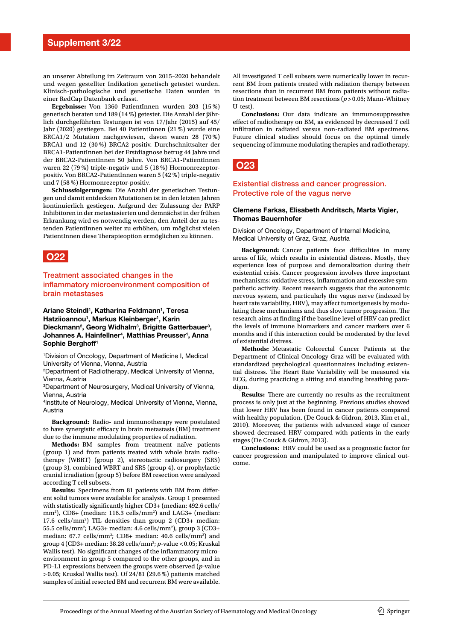an unserer Abteilung im Zeitraum von 2015–2020 behandelt und wegen gestellter Indikation genetisch getestet wurden. Klinisch-pathologische und genetische Daten wurden in einer RedCap Datenbank erfasst.

**Ergebnisse:** Von 1360 PatientInnen wurden 203 (15 %) genetisch beraten und 189 (14 %) getestet. Die Anzahl der jährlich durchgeführten Testungen ist von 17/Jahr (2015) auf 45/ Jahr (2020) gestiegen. Bei 40 PatientInnen (21 %) wurde eine BRCA1/2 Mutation nachgewiesen, davon waren 28 (70 %) BRCA1 und 12 (30 %) BRCA2 positiv. Durchschnittsalter der BRCA1-PatientInnen bei der Erstdiagnose betrug 44 Jahre und der BRCA2-PatientInnen 50 Jahre. Von BRCA1-PatientInnen waren 22 (79 %) triple-negativ und 5 (18 %) Hormonrezeptorpositiv. Von BRCA2-PatientInnen waren 5 (42 %) triple-negativ und 7 (58 %) Hormonrezeptor-positiv.

**Schlussfolgerungen:** Die Anzahl der genetischen Testungen und damit entdeckten Mutationen ist in den letzten Jahren kontinuierlich gestiegen. Aufgrund der Zulassung der PARP Inhibitoren in der metastasierten und demnächst in der frühen Erkrankung wird es notwendig werden, den Anteil der zu testenden PatientInnen weiter zu erhöhen, um möglichst vielen PatientInnen diese Therapieoption ermöglichen zu können.

## **O22**

Treatment associated changes in the infammatory microenvironment composition of brain metastases

**Ariane Steindl1 , Katharina Feldmann1 , Teresa**  Hatziioannou<sup>1</sup>, Markus Kleinberger<sup>1</sup>, Karin Dieckmann<sup>2</sup>, Georg Widhalm<sup>3</sup>, Brigitte Gatterbauer<sup>3</sup>, **Johannes A. Hainfellner4 , Matthias Preusser1 , Anna Sophie Berghoff1**

1 Division of Oncology, Department of Medicine I, Medical University of Vienna, Vienna, Austria

2 Department of Radiotherapy, Medical University of Vienna, Vienna, Austria

3 Department of Neurosurgery, Medical University of Vienna, Vienna, Austria

4 Institute of Neurology, Medical University of Vienna, Vienna, Austria

**Background:** Radio- and immunotherapy were postulated to have synergistic efficacy in brain metastasis (BM) treatment due to the immune modulating properties of radiation.

**Methods:** BM samples from treatment naïve patients (group 1) and from patients treated with whole brain radiotherapy (WBRT) (group 2), stereotactic radiosurgery (SRS) (group 3), combined WBRT and SRS (group 4), or prophylactic cranial irradiation (group 5) before BM resection were analyzed according T cell subsets.

**Results:** Specimens from 81 patients with BM from diferent solid tumors were available for analysis. Group 1 presented with statistically significantly higher CD3+ (median: 492.6 cells/ mm<sup>2</sup>), CD8+ (median: 116.3 cells/mm<sup>2</sup>) and LAG3+ (median: 17.6 cells/mm2 ) TIL densities than group 2 (CD3+ median: 55.5 cells/mm2 ; LAG3+ median: 4.6 cells/mm2 ), group 3 (CD3+ median: 67.7 cells/mm<sup>2</sup>; CD8+ median: 40.6 cells/mm<sup>2</sup>) and group 4 (CD3+ median: 38.28 cells/mm2 ; *p*-value <0.05; Kruskal Wallis test). No significant changes of the inflammatory microenvironment in group 5 compared to the other groups, and in PD-L1 expressions between the groups were observed (*p*-value >0.05; Kruskal Wallis test). Of 24/81 (29.6 %) patients matched samples of initial resected BM and recurrent BM were available.

All investigated T cell subsets were numerically lower in recurrent BM from patients treated with radiation therapy between resections than in recurrent BM from patients without radiation treatment between BM resections (*p*>0.05; Mann-Whitney U-test).

**Conclusions:** Our data indicate an immunosuppressive efect of radiotherapy on BM, as evidenced by decreased T cell infltration in radiated versus non-radiated BM specimens. Future clinical studies should focus on the optimal timely sequencing of immune modulating therapies and radiotherapy.

**O23**

#### Existential distress and cancer progression. Protective role of the vagus nerve

#### **Clemens Farkas, Elisabeth Andritsch, Marta Vigier, Thomas Bauernhofer**

Division of Oncology, Department of Internal Medicine, Medical University of Graz, Graz, Austria

**Background:** Cancer patients face difficulties in many areas of life, which results in existential distress. Mostly, they experience loss of purpose and demoralization during their existential crisis. Cancer progression involves three important mechanisms: oxidative stress, infammation and excessive sympathetic activity. Recent research suggests that the autonomic nervous system, and particularly the vagus nerve (indexed by heart rate variability, HRV), may afect tumorigenesis by modulating these mechanisms and thus slow tumor progression. The research aims at fnding if the baseline level of HRV can predict the levels of immune biomarkers and cancer markers over 6 months and if this interaction could be moderated by the level of existential distress.

**Methods:** Metastatic Colorectal Cancer Patients at the Department of Clinical Oncology Graz will be evaluated with standardized psychological questionnaires including existential distress. The Heart Rate Variability will be measured via ECG, during practicing a sitting and standing breathing paradigm.

**Results:** There are currently no results as the recruitment process is only just at the beginning. Previous studies showed that lower HRV has been found in cancer patients compared with healthy population. (De Couck & Gidron, 2013, Kim et al., 2010). Moreover, the patients with advanced stage of cancer showed decreased HRV compared with patients in the early stages (De Couck & Gidron, 2013).

**Conclusions:** HRV could be used as a prognostic factor for cancer progression and manipulated to improve clinical outcome.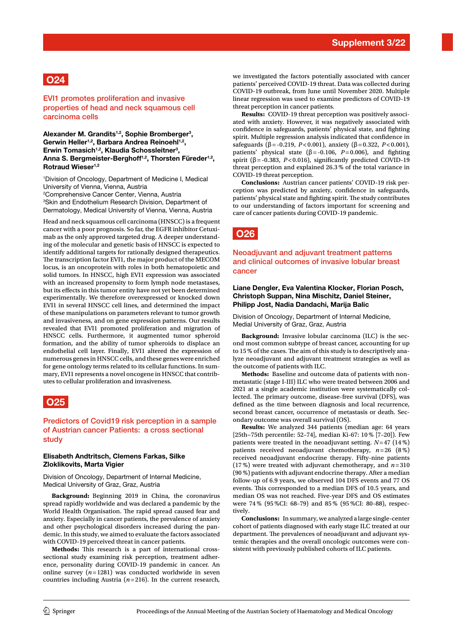

EVI1 promotes proliferation and invasive properties of head and neck squamous cell carcinoma cells

**Alexander M. Grandits1,2, Sophie Bromberger3 ,**  Gerwin Heller<sup>1,2</sup>, Barbara Andrea Reinoehl<sup>1,2</sup>, **Erwin Tomasich1,2, Klaudia Schossleitner3 ,**  Anna S. Bergmeister-Berghoff<sup>1,2</sup>, Thorsten Füreder<sup>1,2</sup>, **Rotraud Wieser1,2**

1 Division of Oncology, Department of Medicine I, Medical University of Vienna, Vienna, Austria

2 Comprehensive Cancer Center, Vienna, Austria 3 Skin and Endothelium Research Division, Department of Dermatology, Medical University of Vienna, Vienna, Austria

Head and neck squamous cell carcinoma (HNSCC) is a frequent cancer with a poor prognosis. So far, the EGFR inhibitor Cetuximab as the only approved targeted drug. A deeper understanding of the molecular and genetic basis of HNSCC is expected to identify additional targets for rationally designed therapeutics. The transcription factor EVI1, the major product of the MECOM locus, is an oncoprotein with roles in both hematopoietic and solid tumors. In HNSCC, high EVI1 expression was associated with an increased propensity to form lymph node metastases, but its efects in this tumor entity have not yet been determined experimentally. We therefore overexpressed or knocked down EVI1 in several HNSCC cell lines, and determined the impact of these manipulations on parameters relevant to tumor growth and invasiveness, and on gene expression patterns. Our results revealed that EVI1 promoted proliferation and migration of HNSCC cells. Furthermore, it augmented tumor spheroid formation, and the ability of tumor spheroids to displace an endothelial cell layer. Finally, EVI1 altered the expression of numerous genes in HNSCC cells, and these genes were enriched for gene ontology terms related to its cellular functions. In summary, EVI1 represents a novel oncogene in HNSCC that contributes to cellular proliferation and invasiveness.

## **O25**

#### Predictors of Covid19 risk perception in a sample of Austrian cancer Patients: a cross sectional study

#### **Elisabeth Andtritsch, Clemens Farkas, Silke Zloklikovits, Marta Vigier**

Division of Oncology, Department of Internal Medicine, Medical University of Graz, Graz, Austria

**Background:** Beginning 2019 in China, the coronavirus spread rapidly worldwide and was declared a pandemic by the World Health Organisation. The rapid spread caused fear and anxiety. Especially in cancer patients, the prevalence of anxiety and other psychological disorders increased during the pandemic. In this study, we aimed to evaluate the factors associated with COVID-19 perceived threat in cancer patients.

Methods: This research is a part of international crosssectional study examining risk perception, treatment adherence, personality during COVID-19 pandemic in cancer. An online survey  $(n=1281)$  was conducted worldwide in seven countries including Austria (*n*=216). In the current research, we investigated the factors potentially associated with cancer patients' perceived COVID-19 threat. Data was collected during COVID-19 outbreak, from June until November 2020. Multiple linear regression was used to examine predictors of COVID-19 threat perception in cancer patients.

**Results:** COVID-19 threat perception was positively associated with anxiety. However, it was negatively associated with confdence in safeguards, patients' physical state, and fghting spirit. Multiple regression analysis indicated that confdence in safeguards (β=-0.219, *P*<0.001), anxiety (β=0.322, *P*<0.001), patients' physical state (β =-0.106, *P*=0.006), and fghting spirit ( $\beta$  = -0.383, *P*<0.016), significantly predicted COVID-19 threat perception and explained 26.3 % of the total variance in COVID-19 threat perception.

**Conclusions:** Austrian cancer patients' COVID-19 risk perception was predicted by anxiety, confdence in safeguards, patients' physical state and fighting spirit. The study contributes to our understanding of factors important for screening and care of cancer patients during COVID-19 pandemic.



#### Neoadjuvant and adjuvant treatment patterns and clinical outcomes of invasive lobular breast cancer

#### **Liane Dengler, Eva Valentina Klocker, Florian Posch, Christoph Suppan, Nina Mischitz, Daniel Steiner, Philipp Jost, Nadia Dandachi, Marija Balic**

Division of Oncology, Department of Internal Medicine, Medial University of Graz, Graz, Austria

**Background:** Invasive lobular carcinoma (ILC) is the second most common subtype of breast cancer, accounting for up to 15 % of the cases. The aim of this study is to descriptively analyze neoadjuvant and adjuvant treatment strategies as well as the outcome of patients with ILC.

**Methods:** Baseline and outcome data of patients with nonmetastatic (stage I-III) ILC who were treated between 2006 and 2021 at a single academic institution were systematically collected. The primary outcome, disease-free survival (DFS), was defned as the time between diagnosis and local recurrence, second breast cancer, occurrence of metastasis or death. Secondary outcome was overall survival (OS).

**Results:** We analyzed 344 patients (median age: 64 years [25th−75th percentile: 52–74], median Ki-67: 10 % [7–20]). Few patients were treated in the neoadjuvant setting. *N*=47 (14 %) patients received neoadjuvant chemotherapy,  $n=26$  (8%) received neoadjuvant endocrine therapy. Fifty-nine patients (17 %) were treated with adjuvant chemotherapy, and *n*=310 (90 %) patients with adjuvant endocrine therapy. After a median follow-up of 6.9 years, we observed 104 DFS events and 77 OS events. This corresponded to a median DFS of 10.5 years, and median OS was not reached. Five-year DFS and OS estimates were 74 % (95 %CI: 68–79) and 85 % (95 %CI: 80–88), respectively.

**Conclusions:** In summary, we analyzed a large single-center cohort of patients diagnosed with early stage ILC treated at our department. The prevalences of neoadjuvant and adjuvant systemic therapies and the overall oncologic outcomes were consistent with previously published cohorts of ILC patients.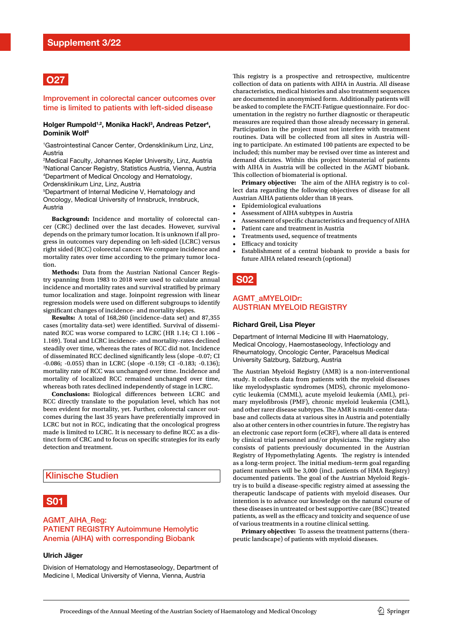

#### Improvement in colorectal cancer outcomes over time is limited to patients with left-sided disease

#### Holger Rumpold<sup>1,2</sup>, Monika Hackl<sup>3</sup>, Andreas Petzer<sup>4</sup>, **Dominik Wolf5**

1 Gastrointestinal Cancer Center, Ordensklinikum Linz, Linz, Austria

 Medical Faculty, Johannes Kepler University, Linz, Austria National Cancer Registry, Statistics Austria, Vienna, Austria Department of Medical Oncology and Hematology, Ordensklinikum Linz, Linz, Austria

5 Department of Internal Medicine V, Hematology and Oncology, Medical University of Innsbruck, Innsbruck, Austria

**Background:** Incidence and mortality of colorectal cancer (CRC) declined over the last decades. However, survival depends on the primary tumor location. It is unknown if all progress in outcomes vary depending on left-sided (LCRC) versus right sided (RCC) colorectal cancer. We compare incidence and mortality rates over time according to the primary tumor location.

**Methods:** Data from the Austrian National Cancer Registry spanning from 1983 to 2018 were used to calculate annual incidence and mortality rates and survival stratifed by primary tumor localization and stage. Joinpoint regression with linear regression models were used on diferent subgroups to identify significant changes of incidence- and mortality slopes.

**Results:** A total of 168,260 (incidence-data set) and 87,355 cases (mortality data-set) were identifed. Survival of disseminated RCC was worse compared to LCRC (HR 1.14; CI 1.106 – 1.169). Total and LCRC incidence- and mortality-rates declined steadily over time, whereas the rates of RCC did not. Incidence of disseminated RCC declined signifcantly less (slope -0.07; CI -0.086; -0.055) than in LCRC (slope -0.159; CI -0.183; -0.136); mortality rate of RCC was unchanged over time. Incidence and mortality of localized RCC remained unchanged over time, whereas both rates declined independently of stage in LCRC.

**Conclusions:** Biological diferences between LCRC and RCC directly translate to the population level, which has not been evident for mortality, yet. Further, colorectal cancer outcomes during the last 35 years have preferentially improved in LCRC but not in RCC, indicating that the oncological progress made is limited to LCRC. It is necessary to defne RCC as a distinct form of CRC and to focus on specifc strategies for its early detection and treatment.

#### Klinische Studien



#### AGMT\_AIHA\_Reg: PATIENT REGISTRY Autoimmune Hemolytic Anemia (AIHA) with corresponding Biobank

#### **Ulrich Jäger**

Division of Hematology and Hemostaseology, Department of Medicine I, Medical University of Vienna, Vienna, Austria

This registry is a prospective and retrospective, multicentre collection of data on patients with AIHA in Austria. All disease characteristics, medical histories and also treatment sequences are documented in anonymised form. Additionally patients will be asked to complete the FACIT-Fatigue questionnaire. For documentation in the registry no further diagnostic or therapeutic measures are required than those already necessary in general. Participation in the project must not interfere with treatment routines. Data will be collected from all sites in Austria willing to participate. An estimated 100 patients are expected to be included; this number may be revised over time as interest and demand dictates. Within this project biomaterial of patients with AIHA in Austria will be collected in the AGMT biobank. This collection of biomaterial is optional.

**Primary objective:** The aim of the AIHA registry is to collect data regarding the following objectives of disease for all Austrian AIHA patients older than 18 years.

- Epidemiological evaluations
- Assessment of AIHA subtypes in Austria
- Assessment of specific characteristics and frequency of AIHA
- Patient care and treatment in Austria
- Treatments used, sequence of treatments
- Efficacy and toxicity
- Establishment of a central biobank to provide a basis for future AIHA related research (optional)

## **S02**

#### AGMT\_aMYELOIDr: AUSTRIAN MYELOID REGISTRY

#### **Richard Greil, Lisa Pleyer**

Department of Internal Medicine III with Haematology, Medical Oncology, Haemostaseology, Infectiology and Rheumatology, Oncologic Center, Paracelsus Medical University Salzburg, Salzburg, Austria

The Austrian Myeloid Registry (AMR) is a non-interventional study. It collects data from patients with the myeloid diseases like myelodysplastic syndromes (MDS), chronic myelomonocytic leukemia (CMML), acute myeloid leukemia (AML), primary myelofbrosis (PMF), chronic myeloid leukemia (CML), and other rarer disease subtypes. The AMR is multi-center database and collects data at various sites in Austria and potentially also at other centers in other countries in future. The registry has an electronic case report form (eCRF), where all data is entered by clinical trial personnel and/or physicians. The registry also consists of patients previously documented in the Austrian Registry of Hypomethylating Agents. The registry is intended as a long-term project. The initial medium-term goal regarding patient numbers will be 3,000 (incl. patients of HMA Registry) documented patients. The goal of the Austrian Myeloid Registry is to build a disease-specifc registry aimed at assessing the therapeutic landscape of patients with myeloid diseases. Our intention is to advance our knowledge on the natural course of these diseases in untreated or best supportive care (BSC) treated patients, as well as the efficacy and toxicity and sequence of use of various treatments in a routine clinical setting.

**Primary objective:** To assess the treatment patterns (therapeutic landscape) of patients with myeloid diseases.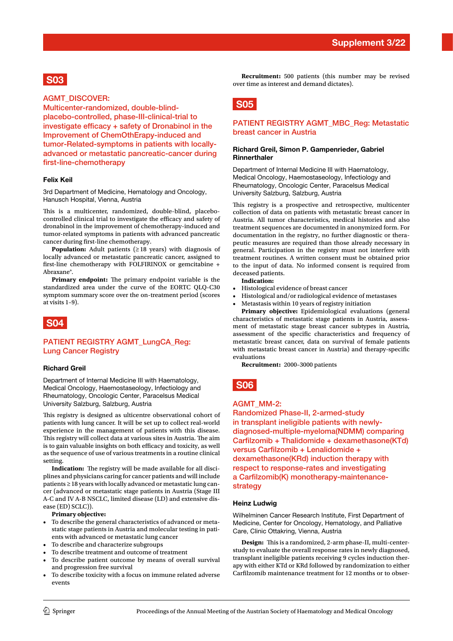## **S03**

#### AGMT\_DISCOVER:

Multicenter-randomized, double-blindplacebo-controlled, phase-III-clinical-trial to investigate efficacy + safety of Dronabinol in the Improvement of ChemOthErapy-induced and tumor-Related-symptoms in patients with locallyadvanced or metastatic pancreatic-cancer during first-line-chemotherapy

#### **Felix Keil**

3rd Department of Medicine, Hematology and Oncology, Hanusch Hospital, Vienna, Austria

This is a multicenter, randomized, double-blind, placebocontrolled clinical trial to investigate the efficacy and safety of dronabinol in the improvement of chemotherapy-induced and tumor-related symptoms in patients with advanced pancreatic cancer during frst-line chemotherapy.

**Population:** Adult patients  $(≥18$  years) with diagnosis of locally advanced or metastatic pancreatic cancer, assigned to frst-line chemotherapy with FOLFIRINOX or gemcitabine + Abraxane®.

**Primary endpoint:** The primary endpoint variable is the standardized area under the curve of the EORTC QLQ-C30 symptom summary score over the on-treatment period (scores at visits 1–9).



#### PATIENT REGISTRY AGMT\_LungCA\_Reg: Lung Cancer Registry

#### **Richard Greil**

Department of Internal Medicine III with Haematology, Medical Oncology, Haemostaseology, Infectiology and Rheumatology, Oncologic Center, Paracelsus Medical University Salzburg, Salzburg, Austria

This registry is designed as ulticentre observational cohort of patients with lung cancer. It will be set up to collect real-world experience in the management of patients with this disease. This registry will collect data at various sites in Austria. The aim is to gain valuable insights on both efficacy and toxicity, as well as the sequence of use of various treatments in a routine clinical setting.

Indication: The registry will be made available for all disciplines and physicians caring for cancer patients and will include patients ≥18 years with locally advanced or metastatic lung cancer (advanced or metastatic stage patients in Austria (Stage III A-C and IV A-B NSCLC, limited disease (LD) and extensive disease (ED) SCLC)).

**Primary objective:** 

- To describe the general characteristics of advanced or metastatic stage patients in Austria and molecular testing in patients with advanced or metastatic lung cancer
- • To describe and characterize subgroups
- • To describe treatment and outcome of treatment
- To describe patient outcome by means of overall survival and progression free survival
- To describe toxicity with a focus on immune related adverse events

**Recruitment:** 500 patients (this number may be revised over time as interest and demand dictates).

## **S05**

#### PATIENT REGISTRY AGMT\_MBC\_Reg: Metastatic breast cancer in Austria

#### **Richard Greil, Simon P. Gampenrieder, Gabriel Rinnerthaler**

Department of Internal Medicine III with Haematology, Medical Oncology, Haemostaseology, Infectiology and Rheumatology, Oncologic Center, Paracelsus Medical University Salzburg, Salzburg, Austria

This registry is a prospective and retrospective, multicenter collection of data on patients with metastatic breast cancer in Austria. All tumor characteristics, medical histories and also treatment sequences are documented in anonymized form. For documentation in the registry, no further diagnostic or therapeutic measures are required than those already necessary in general. Participation in the registry must not interfere with treatment routines. A written consent must be obtained prior to the input of data. No informed consent is required from deceased patients.

#### **Indication:**

- • Histological evidence of breast cancer
- • Histological and/or radiological evidence of metastases
- Metastasis within 10 years of registry initiation

**Primary objective:** Epidemiological evaluations (general characteristics of metastatic stage patients in Austria, assessment of metastatic stage breast cancer subtypes in Austria, assessment of the specifc characteristics and frequency of metastatic breast cancer, data on survival of female patients with metastatic breast cancer in Austria) and therapy-specifc evaluations

**Recruitment:** 2000–3000 patients

**S06**

#### AGMT\_MM-2:

Randomized Phase-II, 2-armed-study in transplant ineligible patients with newlydiagnosed-multiple-myeloma(NDMM) comparing Carflzomib + Thalidomide + dexamethasone(KTd) versus Carflzomib + Lenalidomide + dexamethasone(KRd) induction therapy with respect to response-rates and investigating a Carflzomib(K) monotherapy-maintenancestrategy

#### **Heinz Ludwig**

Wilhelminen Cancer Research Institute, First Department of Medicine, Center for Oncology, Hematology, and Palliative Care, Clinic Ottakring, Vienna, Austria

**Design:** This is a randomized, 2-arm phase-II, multi-centerstudy to evaluate the overall response rates in newly diagnosed, transplant ineligible patients receiving 9 cycles induction therapy with either KTd or KRd followed by randomization to either Carflzomib maintenance treatment for 12 months or to obser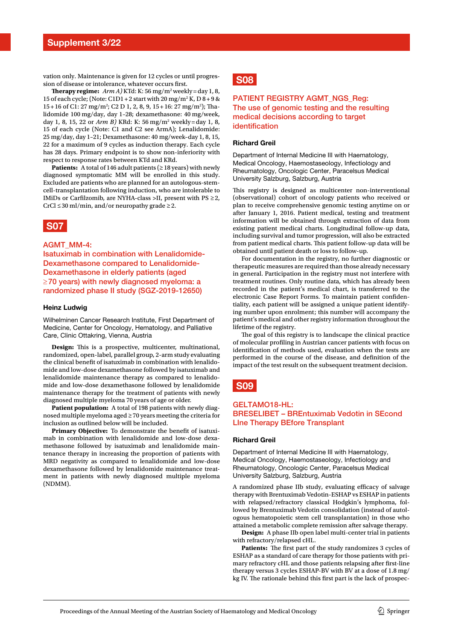vation only. Maintenance is given for 12 cycles or until progression of disease or intolerance, whatever occurs frst.

**Therapy regime:**  $Arm A)$  KTd: K: 56 mg/m<sup>2</sup> weekly = day 1, 8, 15 of each cycle; (Note: C1D1 + 2 start with 20 mg/m<sup>2</sup> K, D 8 + 9 & 15+16 of C1: 27 mg/m<sup>2</sup>; C2 D 1, 2, 8, 9, 15+16: 27 mg/m<sup>2</sup>); Thalidomide 100 mg/day, day 1–28; dexamethasone: 40 mg/week, day 1, 8, 15, 22 or *Arm B)* KRd: K: 56 mg/m2 weekly=day 1, 8, 15 of each cycle (Note: C1 and C2 see ArmA); Lenalidomide: 25 mg/day, day 1–21; Dexamethasone: 40 mg/week–day 1, 8, 15, 22 for a maximum of 9 cycles as induction therapy. Each cycle has 28 days. Primary endpoint is to show non-inferiority with respect to response rates between KTd and KRd.

**Patients:** A total of 146 adult patients (≥18 years) with newly diagnosed symptomatic MM will be enrolled in this study. Excluded are patients who are planned for an autologous-stemcell-transplantation following induction, who are intolerable to IMiDs or Carfilzomib, are NYHA-class >II, present with  $PS \geq 2$ ,  $CrCl \leq 30$  ml/min, and/or neuropathy grade  $\geq 2$ .

## **S07**

#### AGMT\_MM-4:

Isatuximab in combination with Lenalidomide-Dexamethasone compared to Lenalidomide-Dexamethasone in elderly patients (aged ≥70 years) with newly diagnosed myeloma: a randomized phase II study (SGZ-2019-12650)

#### **Heinz Ludwig**

Wilhelminen Cancer Research Institute, First Department of Medicine, Center for Oncology, Hematology, and Palliative Care, Clinic Ottakring, Vienna, Austria

**Design:** This is a prospective, multicenter, multinational, randomized, open-label, parallel group, 2-arm study evaluating the clinical beneft of isatuximab in combination with lenalidomide and low-dose dexamethasone followed by isatuximab and lenalidomide maintenance therapy as compared to lenalidomide and low-dose dexamethasone followed by lenalidomide maintenance therapy for the treatment of patients with newly diagnosed multiple myeloma 70 years of age or older.

**Patient population:** A total of 198 patients with newly diagnosed multiple myeloma aged ≥70 years meeting the criteria for inclusion as outlined below will be included.

Primary Objective: To demonstrate the benefit of isatuximab in combination with lenalidomide and low-dose dexamethasone followed by isatuximab and lenalidomide maintenance therapy in increasing the proportion of patients with MRD negativity as compared to lenalidomide and low-dose dexamethasone followed by lenalidomide maintenance treatment in patients with newly diagnosed multiple myeloma (NDMM).

## **S08**

#### PATIENT REGISTRY AGMT\_NGS\_Reg: The use of genomic testing and the resulting medical decisions according to target identification

#### **Richard Greil**

Department of Internal Medicine III with Haematology, Medical Oncology, Haemostaseology, Infectiology and Rheumatology, Oncologic Center, Paracelsus Medical University Salzburg, Salzburg, Austria

This registry is designed as multicenter non-interventional (observational) cohort of oncology patients who received or plan to receive comprehensive genomic testing anytime on or after January 1, 2016. Patient medical, testing and treatment information will be obtained through extraction of data from existing patient medical charts. Longitudinal follow-up data, including survival and tumor progression, will also be extracted from patient medical charts. This patient follow-up data will be obtained until patient death or loss to follow-up.

For documentation in the registry, no further diagnostic or therapeutic measures are required than those already necessary in general. Participation in the registry must not interfere with treatment routines. Only routine data, which has already been recorded in the patient's medical chart, is transferred to the electronic Case Report Forms. To maintain patient confdentiality, each patient will be assigned a unique patient identifying number upon enrolment; this number will accompany the patient's medical and other registry information throughout the lifetime of the registry.

The goal of this registry is to landscape the clinical practice of molecular profling in Austrian cancer patients with focus on identifcation of methods used, evaluation when the tests are performed in the course of the disease, and defnition of the impact of the test result on the subsequent treatment decision.

## **S09**

#### GELTAMO18-HL: BRESELIBET – BREntuximab Vedotin in SEcond LIne Therapy BEfore Transplant

#### **Richard Greil**

Department of Internal Medicine III with Haematology, Medical Oncology, Haemostaseology, Infectiology and Rheumatology, Oncologic Center, Paracelsus Medical University Salzburg, Salzburg, Austria

A randomized phase IIb study, evaluating efficacy of salvage therapy with Brentuximab Vedotin-ESHAP vs ESHAP in patients with relapsed/refractory classical Hodgkin's lymphoma, followed by Brentuximab Vedotin consolidation (instead of autologous hematopoietic stem cell transplantation) in those who attained a metabolic complete remission after salvage therapy.

**Design:** A phase IIb open label multi-center trial in patients with refractory/relapsed cHL.

Patients: The first part of the study randomizes 3 cycles of ESHAP as a standard of care therapy for those patients with primary refractory cHL and those patients relapsing after frst-line therapy versus 3 cycles ESHAP-BV with BV at a dose of 1.8 mg/ kg IV. The rationale behind this first part is the lack of prospec-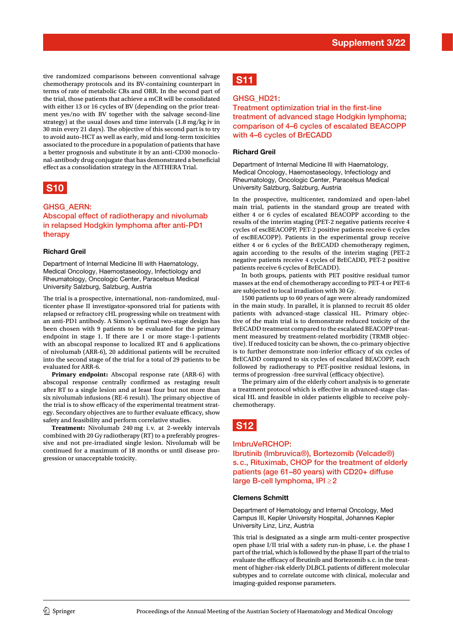tive randomized comparisons between conventional salvage chemotherapy protocols and its BV-containing counterpart in terms of rate of metabolic CRs and ORR. In the second part of the trial, those patients that achieve a mCR will be consolidated with either 13 or 16 cycles of BV (depending on the prior treatment yes/no with BV together with the salvage second-line strategy) at the usual doses and time intervals (1.8 mg/kg iv in 30 min every 21 days). The objective of this second part is to try to avoid auto-HCT as well as early, mid and long-term toxicities associated to the procedure in a population of patients that have a better prognosis and substitute it by an anti-CD30 monoclonal-antibody drug conjugate that has demonstrated a beneficial efect as a consolidation strategy in the AETHERA Trial.

# **S10**

#### GHSG\_AERN:

Abscopal effect of radiotherapy and nivolumab in relapsed Hodgkin lymphoma after anti-PD1 therapy

#### **Richard Greil**

Department of Internal Medicine III with Haematology, Medical Oncology, Haemostaseology, Infectiology and Rheumatology, Oncologic Center, Paracelsus Medical University Salzburg, Salzburg, Austria

The trial is a prospective, international, non-randomized, multicenter phase II investigator-sponsored trial for patients with relapsed or refractory cHL progressing while on treatment with an anti-PD1 antibody. A Simon's optimal two-stage design has been chosen with 9 patients to be evaluated for the primary endpoint in stage 1. If there are 1 or more stage-1-patients with an abscopal response to localized RT and 6 applications of nivolumab (ARR-6), 20 additional patients will be recruited into the second stage of the trial for a total of 29 patients to be evaluated for ARR-6.

**Primary endpoint:** Abscopal response rate (ARR-6) with abscopal response centrally confrmed as restaging result after RT to a single lesion and at least four but not more than six nivolumab infusions (RE-6 result). The primary objective of the trial is to show efficacy of the experimental treatment strategy. Secondary objectives are to further evaluate efficacy, show safety and feasibility and perform correlative studies.

**Treatment:** Nivolumab 240 mg i. v. at 2-weekly intervals combined with 20 Gy radiotherapy (RT) to a preferably progressive and not pre-irradiated single lesion. Nivolumab will be continued for a maximum of 18 months or until disease progression or unacceptable toxicity.

# **S11**

#### GHSG\_HD21:

Treatment optimization trial in the first-line treatment of advanced stage Hodgkin lymphoma; comparison of 4–6 cycles of escalated BEACOPP with 4–6 cycles of BrECADD

#### **Richard Greil**

Department of Internal Medicine III with Haematology, Medical Oncology, Haemostaseology, Infectiology and Rheumatology, Oncologic Center, Paracelsus Medical University Salzburg, Salzburg, Austria

In the prospective, multicenter, randomized and open-label main trial, patients in the standard group are treated with either 4 or 6 cycles of escalated BEACOPP according to the results of the interim staging (PET-2 negative patients receive 4 cycles of escBEACOPP, PET-2 positive patients receive 6 cycles of escBEACOPP). Patients in the experimental group receive either 4 or 6 cycles of the BrECADD chemotherapy regimen, again according to the results of the interim staging (PET-2 negative patients receive 4 cycles of BrECADD, PET-2 positive patients receive 6 cycles of BrECADD).

In both groups, patients with PET positive residual tumor masses at the end of chemotherapy according to PET-4 or PET-6 are subjected to local irradiation with 30 Gy.

1500 patients up to 60 years of age were already randomized in the main study. In parallel, it is planned to recruit 85 older patients with advanced-stage classical HL. Primary objective of the main trial is to demonstrate reduced toxicity of the BrECADD treatment compared to the escalated BEACOPP treatment measured by treatment-related morbidity (TRMB objective). If reduced toxicity can be shown, the co-primary objective is to further demonstrate non-inferior efficacy of six cycles of BrECADD compared to six cycles of escalated BEACOPP, each followed by radiotherapy to PET-positive residual lesions, in terms of progression -free survival (efficacy objective).

The primary aim of the elderly cohort analysis is to generate a treatment protocol which is efective in advanced-stage classical HL and feasible in older patients eligible to receive polychemotherapy.

# **S12**

#### ImbruVeRCHOP:

Ibrutinib (Imbruvica®), Bortezomib (Velcade®) s.c., Rituximab, CHOP for the treatment of elderly patients (age 61–80 years) with CD20+ diffuse large B-cell lymphoma, IPI ≥2

#### **Clemens Schmitt**

Department of Hematology and Internal Oncology, Med Campus III, Kepler University Hospital, Johannes Kepler University Linz, Linz, Austria

This trial is designated as a single arm multi-center prospective open phase I/II trial with a safety run-in phase, i.e. the phase I part of the trial, which is followed by the phase II part of the trial to evaluate the efficacy of Ibrutinib and Bortezomib s.c. in the treatment of higher-risk elderly DLBCL patients of diferent molecular subtypes and to correlate outcome with clinical, molecular and imaging-guided response parameters.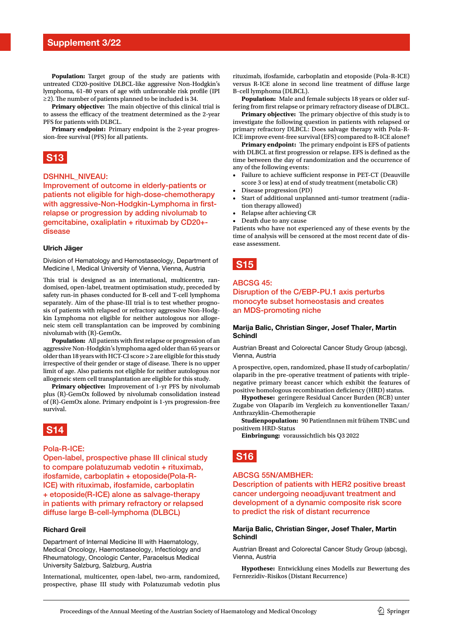**Population:** Target group of the study are patients with untreated CD20-positive DLBCL-like aggressive Non-Hodgkin's lymphoma, 61–80 years of age with unfavorable risk profle (IPI  $\geq$  2). The number of patients planned to be included is 34.

**Primary objective:** The main objective of this clinical trial is to assess the efficacy of the treatment determined as the 2-year PFS for patients with DLBCL.

**Primary endpoint:** Primary endpoint is the 2-year progression-free survival (PFS) for all patients.



#### DSHNHL\_NIVEAU:

Improvement of outcome in elderly-patients or patients not eligible for high-dose-chemotherapy with aggressive-Non-Hodgkin-Lymphoma in firstrelapse or progression by adding nivolumab to gemcitabine, oxaliplatin + rituximab by CD20+ disease

#### **Ulrich Jäger**

Division of Hematology and Hemostaseology, Department of Medicine I, Medical University of Vienna, Vienna, Austria

This trial is designed as an international, multicentre, randomised, open-label, treatment optimisation study, preceded by safety run-in phases conducted for B-cell and T-cell lymphoma separately. Aim of the phase-III trial is to test whether prognosis of patients with relapsed or refractory aggressive Non-Hodgkin Lymphoma not eligible for neither autologous nor allogeneic stem cell transplantation can be improved by combining nivolumab with (R)-GemOx.

Population: All patients with first relapse or progression of an aggressive Non-Hodgkin's lymphoma aged older than 65 years or older than 18 years with HCT-CI score >2 are eligible for this study irrespective of their gender or stage of disease. There is no upper limit of age. Also patients not eligible for neither autologous nor allogeneic stem cell transplantation are eligible for this study.

**Primary objective:** Improvement of 1-yr PFS by nivolumab plus (R)-GemOx followed by nivolumab consolidation instead of (R)-GemOx alone. Primary endpoint is 1-yrs progression-free survival.



#### Pola-R-ICE:

Open-label, prospective phase III clinical study to compare polatuzumab vedotin + rituximab, ifosfamide, carboplatin + etoposide(Pola-R-ICE) with rituximab, ifosfamide, carboplatin + etoposide(R-ICE) alone as salvage-therapy in patients with primary refractory or relapsed diffuse large B-cell-lymphoma (DLBCL)

#### **Richard Greil**

Department of Internal Medicine III with Haematology, Medical Oncology, Haemostaseology, Infectiology and Rheumatology, Oncologic Center, Paracelsus Medical University Salzburg, Salzburg, Austria

International, multicenter, open-label, two-arm, randomized, prospective, phase III study with Polatuzumab vedotin plus

rituximab, ifosfamide, carboplatin and etoposide (Pola-R-ICE) versus R-ICE alone in second line treatment of difuse large B-cell lymphoma (DLBCL).

**Population:** Male and female subjects 18 years or older suffering from frst relapse or primary refractory disease of DLBCL.

**Primary objective:** The primary objective of this study is to investigate the following question in patients with relapsed or primary refractory DLBCL: Does salvage therapy with Pola-R-ICE improve event-free survival (EFS) compared to R-ICE alone?

Primary endpoint: The primary endpoint is EFS of patients with DLBCL at first progression or relapse. EFS is defined as the time between the day of randomization and the occurrence of any of the following events:

- Failure to achieve sufficient response in PET-CT (Deauville score 3 or less) at end of study treatment (metabolic CR)
- Disease progression (PD)
- Start of additional unplanned anti-tumor treatment (radiation therapy allowed)
- Relapse after achieving CR
- Death due to any cause

Patients who have not experienced any of these events by the time of analysis will be censored at the most recent date of disease assessment.

## **S15**

#### ABCSG 45:

#### Disruption of the C/EBP-PU.1 axis perturbs monocyte subset homeostasis and creates an MDS-promoting niche

#### **Marija Balic, Christian Singer, Josef Thaler, Martin Schindl**

Austrian Breast and Colorectal Cancer Study Group (abcsg), Vienna, Austria

A prospective, open, randomized, phase II study of carboplatin/ olaparib in the pre-operative treatment of patients with triplenegative primary breast cancer which exhibit the features of positive homologous recombination deficiency (HRD) status.

**Hypothese:** geringere Residual Cancer Burden (RCB) unter Zugabe von Olaparib im Vergleich zu konventioneller Taxan/ Anthrazyklin-Chemotherapie

**Studienpopulation:** 90 PatientInnen mit frühem TNBC und positivem HRD-Status

**Einbringung:** voraussichtlich bis Q3 2022

## **S16**

#### ABCSG 55N/AMBHER:

Description of patients with HER2 positive breast cancer undergoing neoadjuvant treatment and development of a dynamic composite risk score to predict the risk of distant recurrence

#### **Marija Balic, Christian Singer, Josef Thaler, Martin Schindl**

Austrian Breast and Colorectal Cancer Study Group (abcsg), Vienna, Austria

**Hypothese:** Entwicklung eines Modells zur Bewertung des Fernrezidiv-Risikos (Distant Recurrence)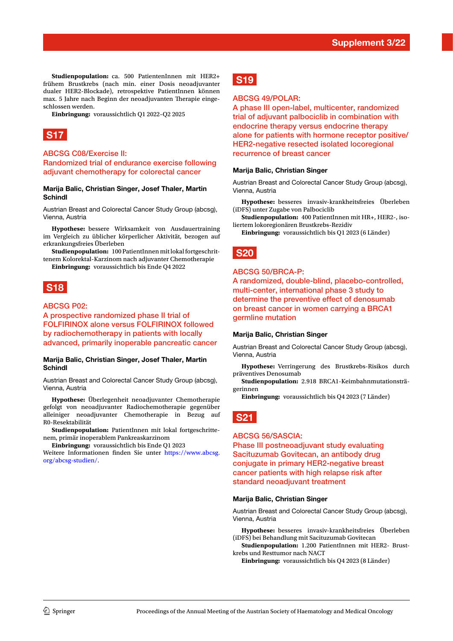**Studienpopulation:** ca. 500 PatientenInnen mit HER2+ frühem Brustkrebs (nach min. einer Dosis neoadjuvanter dualer HER2-Blockade), retrospektive PatientInnen können max. 5 Jahre nach Beginn der neoadjuvanten Therapie eingeschlossen werden.

**Einbringung:** voraussichtlich Q1 2022–Q2 2025



#### ABCSG C08/Exercise II: Randomized trial of endurance exercise following adjuvant chemotherapy for colorectal cancer

#### **Marija Balic, Christian Singer, Josef Thaler, Martin Schindl**

Austrian Breast and Colorectal Cancer Study Group (abcsg), Vienna, Austria

**Hypothese:** bessere Wirksamkeit von Ausdauertraining im Vergleich zu üblicher körperlicher Aktivität, bezogen auf erkrankungsfreies Überleben

**Studienpopulation:** 100 PatientInnen mit lokal fortgeschrittenem Kolorektal-Karzinom nach adjuvanter Chemotherapie

**Einbringung:** voraussichtlich bis Ende Q4 2022

# **S18**

#### ABCSG P02:

A prospective randomized phase II trial of FOLFIRINOX alone versus FOLFIRINOX followed by radiochemotherapy in patients with locally advanced, primarily inoperable pancreatic cancer

#### **Marija Balic, Christian Singer, Josef Thaler, Martin Schindl**

Austrian Breast and Colorectal Cancer Study Group (abcsg), Vienna, Austria

**Hypothese:** Überlegenheit neoadjuvanter Chemotherapie gefolgt von neoadjuvanter Radiochemotherapie gegenüber alleiniger neoadjuvanter Chemotherapie in Bezug auf R0-Resektabilität

**Studienpopulation:** PatientInnen mit lokal fortgeschrittenem, primär inoperablem Pankreaskarzinom

**Einbringung:** voraussichtlich bis Ende Q1 2023

Weitere Informationen fnden Sie unter [https://www.abcsg.](https://www.abcsg.org/abcsg-studien/) [org/abcsg-studien/](https://www.abcsg.org/abcsg-studien/).

# **S19**

#### ABCSG 49/POLAR:

A phase III open-label, multicenter, randomized trial of adjuvant palbociclib in combination with endocrine therapy versus endocrine therapy alone for patients with hormone receptor positive/ HER2-negative resected isolated locoregional recurrence of breast cancer

#### **Marija Balic, Christian Singer**

Austrian Breast and Colorectal Cancer Study Group (abcsg), Vienna, Austria

**Hypothese:** besseres invasiv-krankheitsfreies Überleben (iDFS) unter Zugabe von Palbociclib

**Studienpopulation:** 400 PatientInnen mit HR+, HER2-, isoliertem lokoregionären Brustkrebs-Rezidiv

**Einbringung:** voraussichtlich bis Q1 2023 (6 Länder)

## **S20**

#### ABCSG 50/BRCA-P:

A randomized, double-blind, placebo-controlled, multi-center, international phase 3 study to determine the preventive effect of denosumab on breast cancer in women carrying a BRCA1 germline mutation

#### **Marija Balic, Christian Singer**

Austrian Breast and Colorectal Cancer Study Group (abcsg), Vienna, Austria

**Hypothese:** Verringerung des Brustkrebs-Risikos durch präventives Denosumab

**Studienpopulation:** 2.918 BRCA1-Keimbahnmutationsträgerinnen

**Einbringung:** voraussichtlich bis Q4 2023 (7 Länder)



#### ABCSG 56/SASCIA:

Phase III postneoadjuvant study evaluating Sacituzumab Govitecan, an antibody drug conjugate in primary HER2-negative breast cancer patients with high relapse risk after standard neoadjuvant treatment

#### **Marija Balic, Christian Singer**

Austrian Breast and Colorectal Cancer Study Group (abcsg), Vienna, Austria

**Hypothese:** besseres invasiv-krankheitsfreies Überleben (iDFS) bei Behandlung mit Sacituzumab Govitecan

**Studienpopulation:** 1.200 PatientInnen mit HER2- Brustkrebs und Resttumor nach NACT

**Einbringung:** voraussichtlich bis Q4 2023 (8 Länder)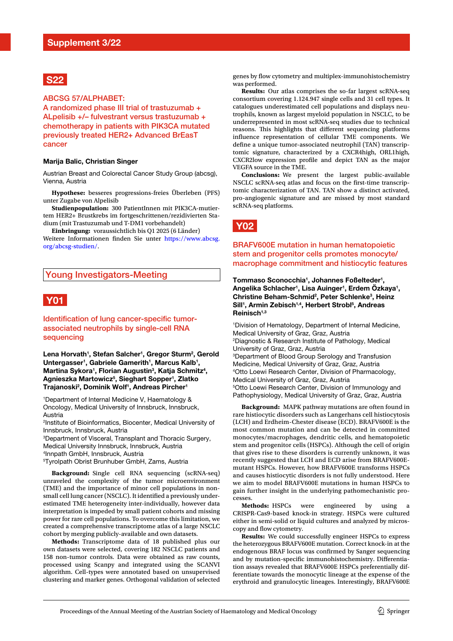## **S22**

ABCSG 57/ALPHABET:

A randomized phase III trial of trastuzumab + ALpelisib +/– fulvestrant versus trastuzumab + chemotherapy in patients with PIK3CA mutated previously treated HER2+ Advanced BrEasT cancer

#### **Marija Balic, Christian Singer**

Austrian Breast and Colorectal Cancer Study Group (abcsg), Vienna, Austria

**Hypothese:** besseres progressions-freies Überleben (PFS) unter Zugabe von Alpelisib

**Studienpopulation:** 300 PatientInnen mit PIK3CA-mutiertem HER2+ Brustkrebs im fortgeschrittenen/rezidivierten Stadium (mit Trastuzumab und T-DM1 vorbehandelt)

**Einbringung:** voraussichtlich bis Q1 2025 (6 Länder) Weitere Informationen fnden Sie unter [https://www.abcsg.](https://www.abcsg.org/abcsg-studien/) [org/abcsg-studien/](https://www.abcsg.org/abcsg-studien/).

#### Young Investigators-Meeting

## **Y01**

#### Identification of lung cancer-specific tumorassociated neutrophils by single-cell RNA sequencing

Lena Horvath<sup>1</sup>, Stefan Salcher<sup>1</sup>, Gregor Sturm<sup>2</sup>, Gerold Untergasser<sup>1</sup>, Gabriele Gamerith<sup>1</sup>, Marcus Kalb<sup>1</sup>, Martina Sykora<sup>1</sup>, Florian Augustin<sup>3</sup>, Katja Schmitz<sup>4</sup>, **Agnieszka Martowicz5 , Sieghart Sopper1 , Zlatko Trajanoski2 , Dominik Wolf1 , Andreas Pircher1**

1 Department of Internal Medicine V, Haematology & Oncology, Medical University of Innsbruck, Innsbruck, Austria

2 Institute of Bioinformatics, Biocenter, Medical University of Innsbruck, Innsbruck, Austria

3 Department of Visceral, Transplant and Thoracic Surgery, Medical University Innsbruck, Innsbruck, Austria 4 Innpath GmbH, Innsbruck, Austria

5 Tyrolpath Obrist Brunhuber GmbH, Zams, Austria

**Background:** Single cell RNA sequencing (scRNA-seq) unraveled the complexity of the tumor microenvironment (TME) and the importance of minor cell populations in nonsmall cell lung cancer (NSCLC). It identifed a previously underestimated TME heterogeneity inter-individually, however data interpretation is impeded by small patient cohorts and missing power for rare cell populations. To overcome this limitation, we created a comprehensive transcriptome atlas of a large NSCLC cohort by merging publicly-available and own datasets.

**Methods:** Transcriptome data of 18 published plus our own datasets were selected, covering 182 NSCLC patients and 158 non-tumor controls. Data were obtained as raw counts, processed using Scanpy and integrated using the SCANVI algorithm. Cell-types were annotated based on unsupervised clustering and marker genes. Orthogonal validation of selected

genes by flow cytometry and multiplex-immunohistochemistry was performed.

**Results:** Our atlas comprises the so-far largest scRNA-seq consortium covering 1.124.947 single cells and 31 cell types. It catalogues underestimated cell populations and displays neutrophils, known as largest myeloid population in NSCLC, to be underrepresented in most scRNA-seq studies due to technical reasons. This highlights that different sequencing platforms infuence representation of cellular TME components. We defne a unique tumor-associated neutrophil (TAN) transcriptomic signature, characterized by a CXCR4high, ORL1high, CXCR2low expression profle and depict TAN as the major VEGFA source in the TME.

**Conclusions:** We present the largest public-available NSCLC scRNA-seq atlas and focus on the frst-time transcriptomic characterization of TAN. TAN show a distinct activated, pro-angiogenic signature and are missed by most standard scRNA-seq platforms.

# **Y02**

#### BRAFV600E mutation in human hematopoietic stem and progenitor cells promotes monocyte/ macrophage commitment and histiocytic features

**Tommaso Sconocchia1 , Johannes Foßelteder1 ,**  Angelika Schlacher<sup>1</sup>, Lisa Auinger<sup>1</sup>, Erdem Özkaya<sup>1</sup>, Christine Beham-Schmid<sup>2</sup>, Peter Schlenke<sup>3</sup>, Heinz Sill<sup>1</sup>, Armin Zebisch<sup>1,4</sup>, Herbert Strobl<sup>5</sup>, Andreas **Reinisch1,3**

1 Division of Hematology, Department of Internal Medicine, Medical University of Graz, Graz, Austria 2 Diagnostic & Research Institute of Pathology, Medical University of Graz, Graz, Austria 3 Department of Blood Group Serology and Transfusion Medicine, Medical University of Graz, Graz, Austria 4 Otto Loewi Research Center, Division of Pharmacology, Medical University of Graz, Graz, Austria 5 Otto Loewi Research Center, Division of Immunology and Pathophysiology, Medical University of Graz, Graz, Austria

**Background:** MAPK pathway mutations are often found in rare histiocytic disorders such as Langerhans cell histiocytosis (LCH) and Erdheim-Chester disease (ECD). BRAFV600E is the most common mutation and can be detected in committed monocytes/macrophages, dendritic cells, and hematopoietic stem and progenitor cells (HSPCs). Although the cell of origin that gives rise to these disorders is currently unknown, it was recently suggested that LCH and ECD arise from BRAFV600Emutant HSPCs. However, how BRAFV600E transforms HSPCs and causes histiocytic disorders is not fully understood. Here we aim to model BRAFV600E mutations in human HSPCs to gain further insight in the underlying pathomechanistic processes.

**Methods:** HSPCs were engineered by using CRISPR-Cas9-based knock-in strategy. HSPCs were cultured either in semi-solid or liquid cultures and analyzed by microscopy and flow cytometry.

**Results:** We could successfully engineer HSPCs to express the heterozygous BRAFV600E mutation. Correct knock-in at the endogenous BRAF locus was confrmed by Sanger sequencing and by mutation-specifc immunohistochemistry. Diferentiation assays revealed that BRAFV600E HSPCs preferentially differentiate towards the monocytic lineage at the expense of the erythroid and granulocytic lineages. Interestingly, BRAFV600E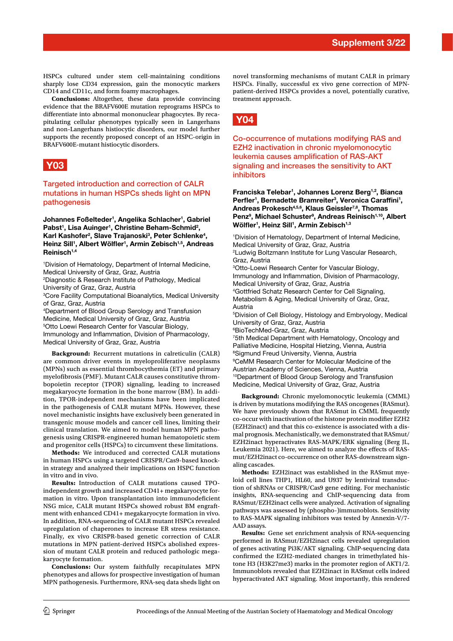HSPCs cultured under stem cell-maintaining conditions sharply lose CD34 expression, gain the monocytic markers CD14 and CD11c, and form foamy macrophages.

**Conclusions:** Altogether, these data provide convincing evidence that the BRAFV600E mutation reprograms HSPCs to diferentiate into abnormal mononuclear phagocytes. By recapitulating cellular phenotypes typically seen in Langerhans and non-Langerhans histiocytic disorders, our model further supports the recently proposed concept of an HSPC-origin in BRAFV600E-mutant histiocytic disorders.

## **Y03**

Targeted introduction and correction of CALR mutations in human HSPCs sheds light on MPN pathogenesis

**Johannes Foßelteder1 , Angelika Schlacher1 , Gabriel**  Pabst<sup>1</sup>, Lisa Auinger<sup>1</sup>, Christine Beham-Schmid<sup>2</sup>, Karl Kashofer<sup>2</sup>, Slave Trajanoski<sup>3</sup>, Peter Schlenke<sup>4</sup>, Heinz Sill<sup>1</sup>, Albert Wölfler<sup>1</sup>, Armin Zebisch<sup>1,5</sup>, Andreas **Reinisch1,4**

1 Division of Hematology, Department of Internal Medicine, Medical University of Graz, Graz, Austria 2 Diagnostic & Research Institute of Pathology, Medical University of Graz, Graz, Austria 3 Core Facility Computational Bioanalytics, Medical University

of Graz, Graz, Austria 4 Department of Blood Group Serology and Transfusion Medicine, Medical University of Graz, Graz, Austria 5 Otto Loewi Research Center for Vascular Biology, Immunology and Infammation, Division of Pharmacology, Medical University of Graz, Graz, Austria

**Background:** Recurrent mutations in calreticulin (CALR) are common driver events in myeloproliferative neoplasms (MPNs) such as essential thrombocythemia (ET) and primary myelofbrosis (PMF). Mutant CALR causes constitutive thrombopoietin receptor (TPOR) signaling, leading to increased megakaryocyte formation in the bone marrow (BM). In addition, TPOR-independent mechanisms have been implicated in the pathogenesis of CALR mutant MPNs. However, these novel mechanistic insights have exclusively been generated in transgenic mouse models and cancer cell lines, limiting their clinical translation. We aimed to model human MPN pathogenesis using CRISPR-engineered human hematopoietic stem and progenitor cells (HSPCs) to circumvent these limitations.

**Methods:** We introduced and corrected CALR mutations in human HSPCs using a targeted CRISPR/Cas9-based knockin strategy and analyzed their implications on HSPC function in vitro and in vivo.

**Results:** Introduction of CALR mutations caused TPOindependent growth and increased CD41+ megakaryocyte formation in vitro. Upon transplantation into immunodeficient NSG mice, CALR mutant HSPCs showed robust BM engraftment with enhanced CD41+ megakaryocyte formation in vivo. In addition, RNA-sequencing of CALR mutant HSPCs revealed upregulation of chaperones to increase ER stress resistance. Finally, ex vivo CRISPR-based genetic correction of CALR mutations in MPN patient-derived HSPCs abolished expression of mutant CALR protein and reduced pathologic megakaryocyte formation.

**Conclusions:** Our system faithfully recapitulates MPN phenotypes and allows for prospective investigation of human MPN pathogenesis. Furthermore, RNA-seq data sheds light on

novel transforming mechanisms of mutant CALR in primary HSPCs. Finally, successful ex vivo gene correction of MPNpatient-derived HSPCs provides a novel, potentially curative, treatment approach.

# **Y04**

Co-occurrence of mutations modifying RAS and EZH2 inactivation in chronic myelomonocytic leukemia causes amplification of RAS-AKT signaling and increases the sensitivity to AKT inhibitors

**Franciska Telebar1 , Johannes Lorenz Berg1,2, Bianca**  Perfler<sup>1</sup>, Bernadette Bramreiter<sup>3</sup>, Veronica Caraffini<sup>1</sup>, **Andreas Prokesch4,5,6, Klaus Geissler7,8, Thomas**  Penz<sup>9</sup>, Michael Schuster<sup>9</sup>, Andreas Reinisch<sup>1,10</sup>, Albert Wölfler<sup>1</sup>, Heinz Sill<sup>1</sup>, Armin Zebisch<sup>1,3</sup>

1 Division of Hematology, Department of Internal Medicine, Medical University of Graz, Graz, Austria 2 Ludwig Boltzmann Institute for Lung Vascular Research, Graz, Austria 3 Otto-Loewi Research Center for Vascular Biology, Immunology and Infammation, Division of Pharmacology, Medical University of Graz, Graz, Austria 4 Gottfried Schatz Research Center for Cell Signaling, Metabolism & Aging, Medical University of Graz, Graz, Austria 5 Division of Cell Biology, Histology and Embryology, Medical University of Graz, Graz, Austria 6 BioTechMed-Graz, Graz, Austria 7 5th Medical Department with Hematology, Oncology and Palliative Medicine, Hospital Hietzing, Vienna, Austria 8 Sigmund Freud University, Vienna, Austria 9 CeMM Research Center for Molecular Medicine of the Austrian Academy of Sciences, Vienna, Austria 10Department of Blood Group Serology and Transfusion Medicine, Medical University of Graz, Graz, Austria

**Background:** Chronic myelomonocytic leukemia (CMML) is driven by mutations modifying the RAS oncogenes (RASmut). We have previously shown that RASmut in CMML frequently co-occur with inactivation of the histone protein modifer EZH2 (EZH2inact) and that this co-existence is associated with a dismal prognosis. Mechanistically, we demonstrated that RASmut/ EZH2inact hyperactivates RAS-MAPK/ERK signaling (Berg JL, Leukemia 2021). Here, we aimed to analyze the effects of RASmut/EZH2inact co-occurrence on other RAS-downstream signaling cascades.

**Methods:** EZH2inact was established in the RASmut myeloid cell lines THP1, HL60, and U937 by lentiviral transduction of shRNAs or CRISPR/Cas9 gene editing. For mechanistic insights, RNA-sequencing and ChIP-sequencing data from RASmut/EZH2inact cells were analyzed. Activation of signaling pathways was assessed by (phospho-)immunoblots. Sensitivity to RAS-MAPK signaling inhibitors was tested by Annexin-V/7- AAD assays.

**Results:** Gene set enrichment analysis of RNA-sequencing performed in RASmut/EZH2inact cells revealed upregulation of genes activating Pi3K/AKT signaling. ChIP-sequencing data confrmed the EZH2-mediated changes in trimethylated histone H3 (H3K27me3) marks in the promoter region of AKT1/2. Immunoblots revealed that EZH2inact in RASmut cells indeed hyperactivated AKT signaling. Most importantly, this rendered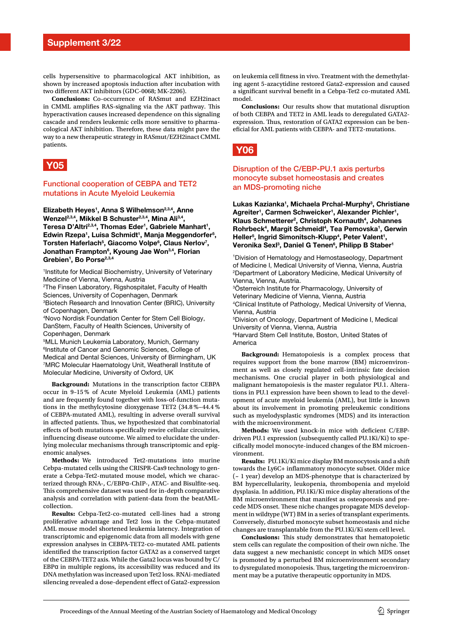cells hypersensitive to pharmacological AKT inhibition, as shown by increased apoptosis induction after incubation with two diferent AKT inhibitors (GDC-0068; MK-2206).

**Conclusions:** Co-occurrence of RASmut and EZH2inact in CMML amplifies RAS-signaling via the AKT pathway. This hyperactivation causes increased dependence on this signaling cascade and renders leukemic cells more sensitive to pharmacological AKT inhibition. Therefore, these data might pave the way to a new therapeutic strategy in RASmut/EZH2inact CMML patients.



#### Functional cooperation of CEBPA and TET2 mutations in Acute Myeloid Leukemia

**Elizabeth Heyes1 , Anna S Wilhelmson2,3,4, Anne**  Wenzel<sup>2,3,4</sup>, Mikkel B Schuster<sup>2,3,4</sup>, Mina Ali<sup>3,4</sup>, Teresa D'Altri<sup>2,3,4</sup>, Thomas Eder<sup>1</sup>, Gabriele Manhart<sup>1</sup>, Edwin Rzepa<sup>1</sup>, Luisa Schmidt<sup>1</sup>, Manja Meggendorfer<sup>5</sup>, Torsten Haferlach<sup>5</sup>, Giacomo Volpe<sup>6</sup>, Claus Nerlov<sup>7</sup>, **Jonathan Frampton6 , Kyoung Jae Won3,4, Florian Grebien1 , Bo Porse2,3,4**

1 Institute for Medical Biochemistry, University of Veterinary Medicine of Vienna, Vienna, Austria

2 The Finsen Laboratory, Rigshospitalet, Faculty of Health Sciences, University of Copenhagen, Denmark

3 Biotech Research and Innovation Center (BRIC), University of Copenhagen, Denmark

4 Novo Nordisk Foundation Center for Stem Cell Biology, DanStem, Faculty of Health Sciences, University of Copenhagen, Denmark

5 MLL Munich Leukemia Laboratory, Munich, Germany 6 Institute of Cancer and Genomic Sciences, College of Medical and Dental Sciences, University of Birmingham, UK 7 MRC Molecular Haematology Unit, Weatherall Institute of Molecular Medicine, University of Oxford, UK

**Background:** Mutations in the transcription factor CEBPA occur in 9–15 % of Acute Myeloid Leukemia (AML) patients and are frequently found together with loss-of-function mutations in the methylcytosine dioxygenase TET2 (34.8 %−44.4 % of CEBPA-mutated AML), resulting in adverse overall survival in affected patients. Thus, we hypothesized that combinatorial efects of both mutations specifcally rewire cellular circuitries, infuencing disease outcome. We aimed to elucidate the underlying molecular mechanisms through transcriptomic and epigenomic analyses.

**Methods:** We introduced Tet2-mutations into murine Cebpa-mutated cells using the CRISPR-Cas9 technology to generate a Cebpa-Tet2-mutated mouse model, which we characterized through RNA-, C/EBPα-ChIP-, ATAC- and Bisulfte-seq. This comprehensive dataset was used for in-depth comparative analysis and correlation with patient-data from the beatAMLcollection.

**Results:** Cebpa-Tet2-co-mutated cell-lines had a strong proliferative advantage and Tet2 loss in the Cebpa-mutated AML mouse model shortened leukemia latency. Integration of transcriptomic and epigenomic data from all models with gene expression analyses in CEBPA-TET2-co-mutated AML patients identifed the transcription factor GATA2 as a conserved target of the CEBPA-TET2 axis. While the Gata2 locus was bound by C/ EBPα in multiple regions, its accessibility was reduced and its DNA methylation was increased upon Tet2 loss. RNAi-mediated silencing revealed a dose-dependent efect of Gata2-expression

on leukemia cell ftness in vivo. Treatment with the demethylating agent 5-azacytidine restored Gata2-expression and caused a signifcant survival beneft in a Cebpa-Tet2 co-mutated AML model.

**Conclusions:** Our results show that mutational disruption of both CEBPA and TET2 in AML leads to deregulated GATA2 expression. Thus, restoration of GATA2 expression can be beneficial for AML patients with CEBPA- and TET2-mutations.



#### Disruption of the C/EBP-PU.1 axis perturbs monocyte subset homeostasis and creates an MDS-promoting niche

**Lukas Kazianka1 , Michaela Prchal-Murphy3 , Christiane**  Agreiter<sup>1</sup>, Carmen Schweicker<sup>1</sup>, Alexander Pichler<sup>1</sup>, Klaus Schmetterer<sup>2</sup>, Christoph Kornauth<sup>4</sup>, Johannes Rohrbeck<sup>4</sup>, Margit Schmeidl<sup>4</sup>, Tea Pemovska<sup>1</sup>, Gerwin Heller<sup>5</sup>, Ingrid Simonitsch-Klupp<sup>4</sup>, Peter Valent<sup>1</sup>, **Veronika Sexl3 , Daniel G Tenen6 , Philipp B Staber1**

1 Division of Hematology and Hemostaseology, Department of Medicine I, Medical University of Vienna, Vienna, Austria 2 Department of Laboratory Medicine, Medical University of Vienna, Vienna, Austria.

3 Österreich Institute for Pharmacology, University of Veterinary Medicine of Vienna, Vienna, Austria 4 Clinical Institute of Pathology, Medical University of Vienna, Vienna, Austria 5 Division of Oncology, Department of Medicine I, Medical University of Vienna, Vienna, Austria 6 Harvard Stem Cell Institute, Boston, United States of America

**Background:** Hematopoiesis is a complex process that requires support from the bone marrow (BM) microenvironment as well as closely regulated cell-intrinsic fate decision mechanisms. One crucial player in both physiological and malignant hematopoiesis is the master regulator PU.1. Alterations in PU.1 expression have been shown to lead to the development of acute myeloid leukemia (AML), but little is known about its involvement in promoting preleukemic conditions such as myelodysplastic syndromes (MDS) and its interaction with the microenvironment.

Methods: We used knock-in mice with deficient C/EBPdriven PU.1 expression (subsequently called PU.1Ki/Ki) to specifcally model monocyte-induced changes of the BM microenvironment.

**Results:** PU.1Ki/Ki mice display BM monocytosis and a shift towards the Ly6C+ infammatory monocyte subset. Older mice (~ 1 year) develop an MDS-phenotype that is characterized by BM hypercellularity, leukopenia, thrombopenia and myeloid dysplasia. In addition, PU.1Ki/Ki mice display alterations of the BM microenvironment that manifest as osteoporosis and precede MDS onset. These niche changes propagate MDS development in wildtype (WT) BM in a series of transplant experiments. Conversely, disturbed monocyte subset homeostasis and niche changes are transplantable from the PU.1Ki/Ki stem cell level.

**Conclusions:** This study demonstrates that hematopoietic stem cells can regulate the composition of their own niche. The data suggest a new mechanistic concept in which MDS onset is promoted by a perturbed BM microenvironment secondary to dysregulated monopoiesis. Thus, targeting the microenvironment may be a putative therapeutic opportunity in MDS.